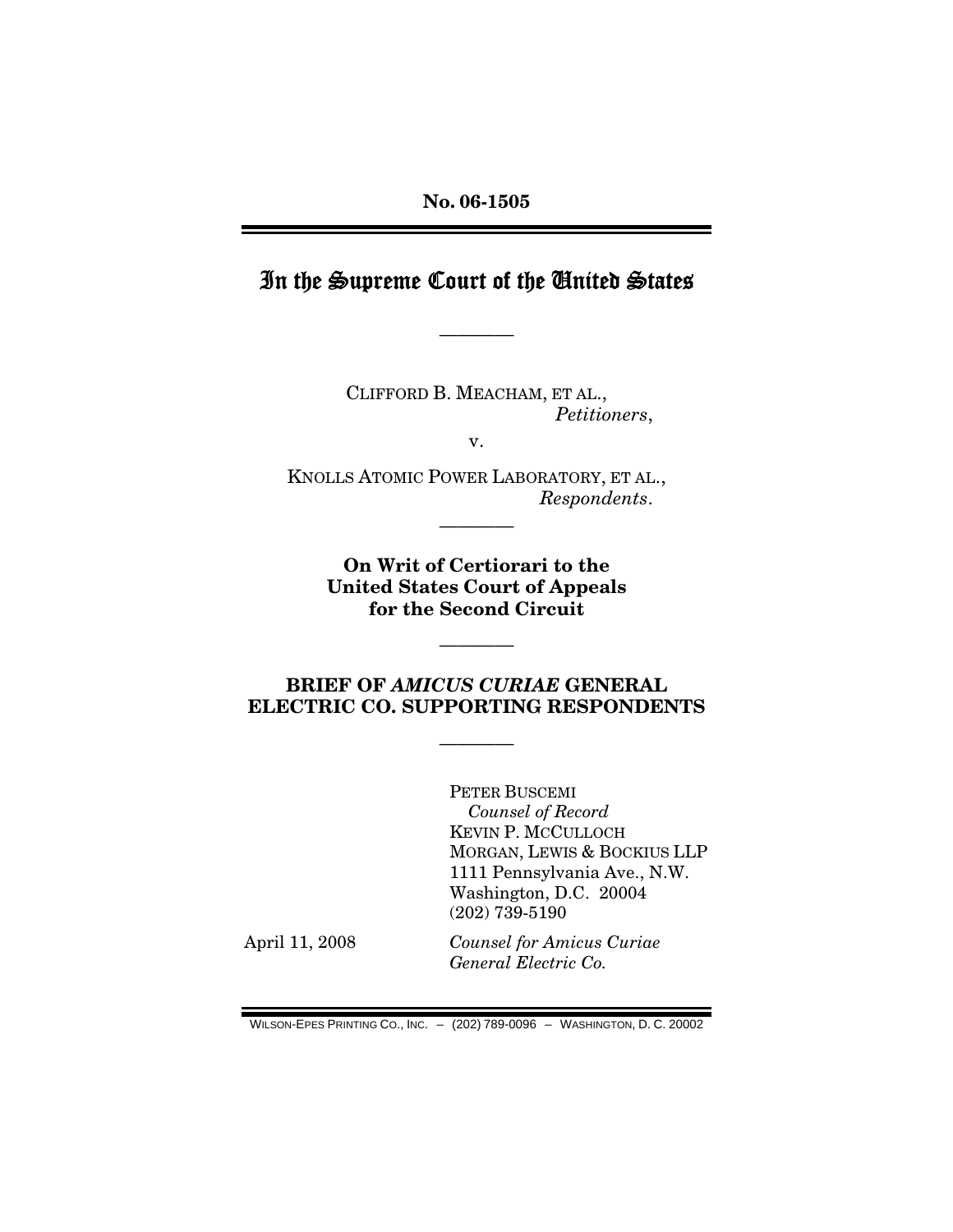### In the Supreme Court of the United States

————

CLIFFORD B. MEACHAM, ET AL., *Petitioners*,

v.

KNOLLS ATOMIC POWER LABORATORY, ET AL., *Respondents*.

————

**On Writ of Certiorari to the United States Court of Appeals for the Second Circuit** 

#### **BRIEF OF** *AMICUS CURIAE* **GENERAL ELECTRIC CO. SUPPORTING RESPONDENTS**

————

————

PETER BUSCEMI *Counsel of Record* KEVIN P. MCCULLOCH MORGAN, LEWIS & BOCKIUS LLP 1111 Pennsylvania Ave., N.W. Washington, D.C. 20004 (202) 739-5190

April 11, 2008 *Counsel for Amicus Curiae General Electric Co.*

WILSON-EPES PRINTING CO., INC. – (202) 789-0096 – WASHINGTON, D. C. 20002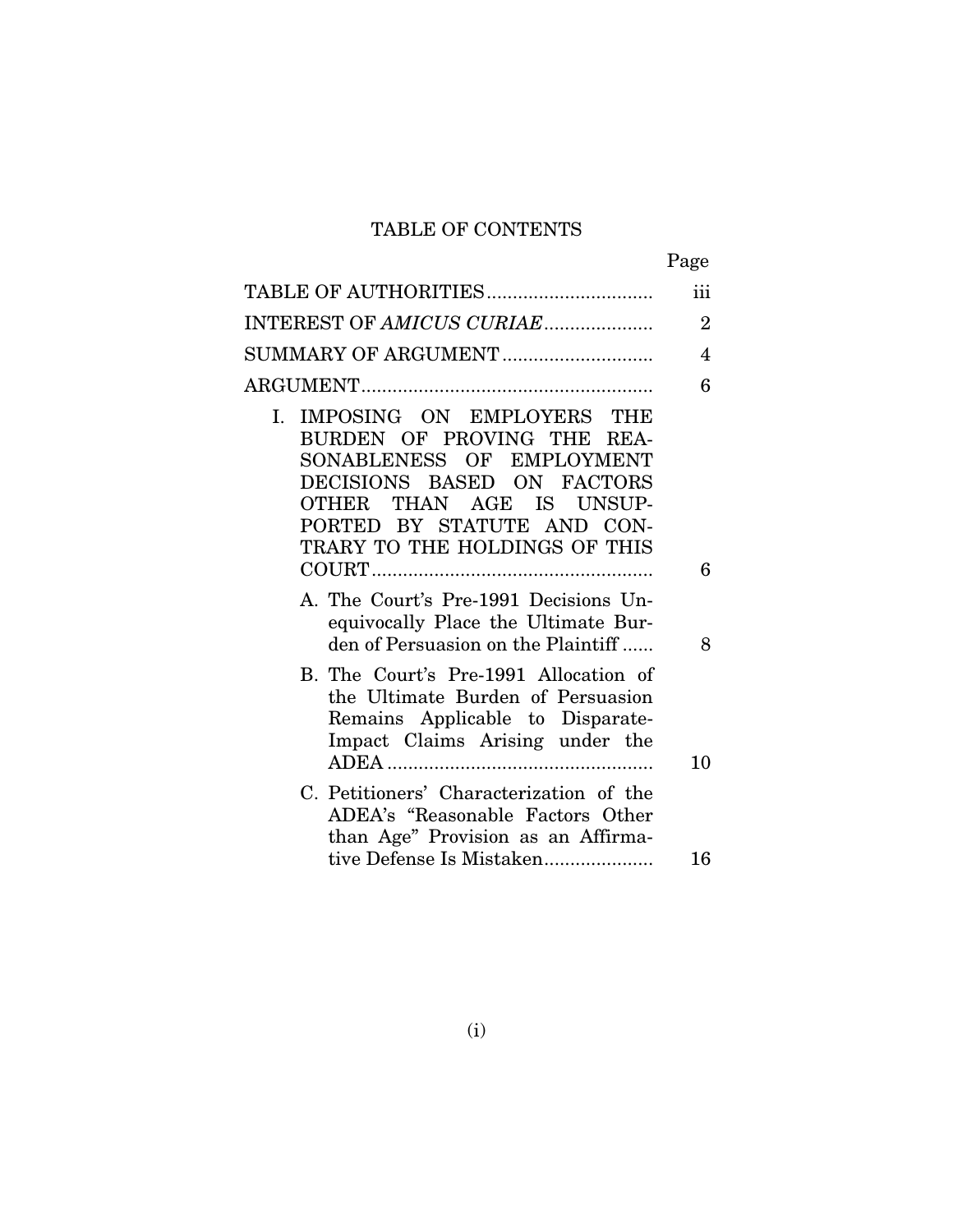### TABLE OF CONTENTS

|                                                                                                                                                                                                                     | Page           |
|---------------------------------------------------------------------------------------------------------------------------------------------------------------------------------------------------------------------|----------------|
| TABLE OF AUTHORITIES                                                                                                                                                                                                | iii            |
| INTEREST OF AMICUS CURIAE                                                                                                                                                                                           | $\overline{2}$ |
| SUMMARY OF ARGUMENT                                                                                                                                                                                                 | 4              |
|                                                                                                                                                                                                                     | 6              |
| I. IMPOSING ON EMPLOYERS THE<br>BURDEN OF PROVING THE REA-<br>SONABLENESS OF EMPLOYMENT<br>DECISIONS BASED ON FACTORS<br>THAN AGE IS UNSUP-<br>OTHER<br>PORTED BY STATUTE AND CON-<br>TRARY TO THE HOLDINGS OF THIS |                |
|                                                                                                                                                                                                                     | 6              |
| A. The Court's Pre-1991 Decisions Un-<br>equivocally Place the Ultimate Bur-<br>den of Persuasion on the Plaintiff                                                                                                  | 8              |
| B. The Court's Pre-1991 Allocation of<br>the Ultimate Burden of Persuasion<br>Remains Applicable to Disparate-<br>Impact Claims Arising under the                                                                   |                |
|                                                                                                                                                                                                                     | 10             |
| C. Petitioners' Characterization of the<br>ADEA's "Reasonable Factors Other<br>than Age" Provision as an Affirma-<br>tive Defense Is Mistaken                                                                       | 16             |
|                                                                                                                                                                                                                     |                |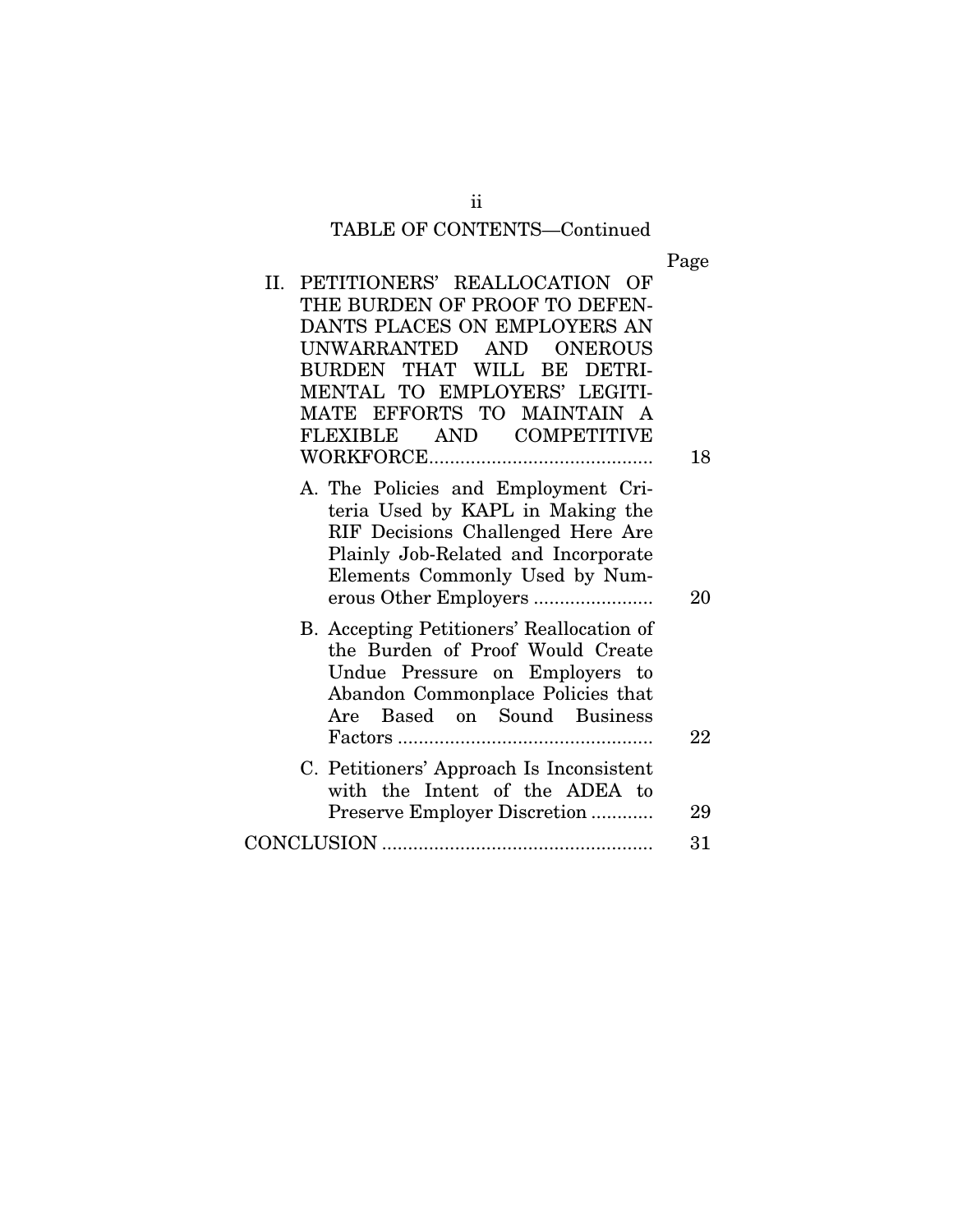# TABLE OF CONTENTS—Continued

Page

| II. PETITIONERS' REALLOCATION OF                                                                                                                                                      |    |
|---------------------------------------------------------------------------------------------------------------------------------------------------------------------------------------|----|
| THE BURDEN OF PROOF TO DEFEN-                                                                                                                                                         |    |
| DANTS PLACES ON EMPLOYERS AN                                                                                                                                                          |    |
| UNWARRANTED AND ONEROUS                                                                                                                                                               |    |
| BURDEN THAT WILL BE DETRI-                                                                                                                                                            |    |
| MENTAL TO EMPLOYERS' LEGITI-                                                                                                                                                          |    |
| MATE EFFORTS TO MAINTAIN A                                                                                                                                                            |    |
| FLEXIBLE AND COMPETITIVE                                                                                                                                                              |    |
|                                                                                                                                                                                       | 18 |
| A. The Policies and Employment Cri-<br>teria Used by KAPL in Making the<br>RIF Decisions Challenged Here Are<br>Plainly Job-Related and Incorporate<br>Elements Commonly Used by Num- | 20 |
| B. Accepting Petitioners' Reallocation of<br>the Burden of Proof Would Create<br>Undue Pressure on Employers to<br>Abandon Commonplace Policies that<br>Are Based on Sound Business   |    |
|                                                                                                                                                                                       | 22 |
| C. Petitioners' Approach Is Inconsistent<br>with the Intent of the ADEA to                                                                                                            |    |
| Preserve Employer Discretion                                                                                                                                                          | 29 |
|                                                                                                                                                                                       | 31 |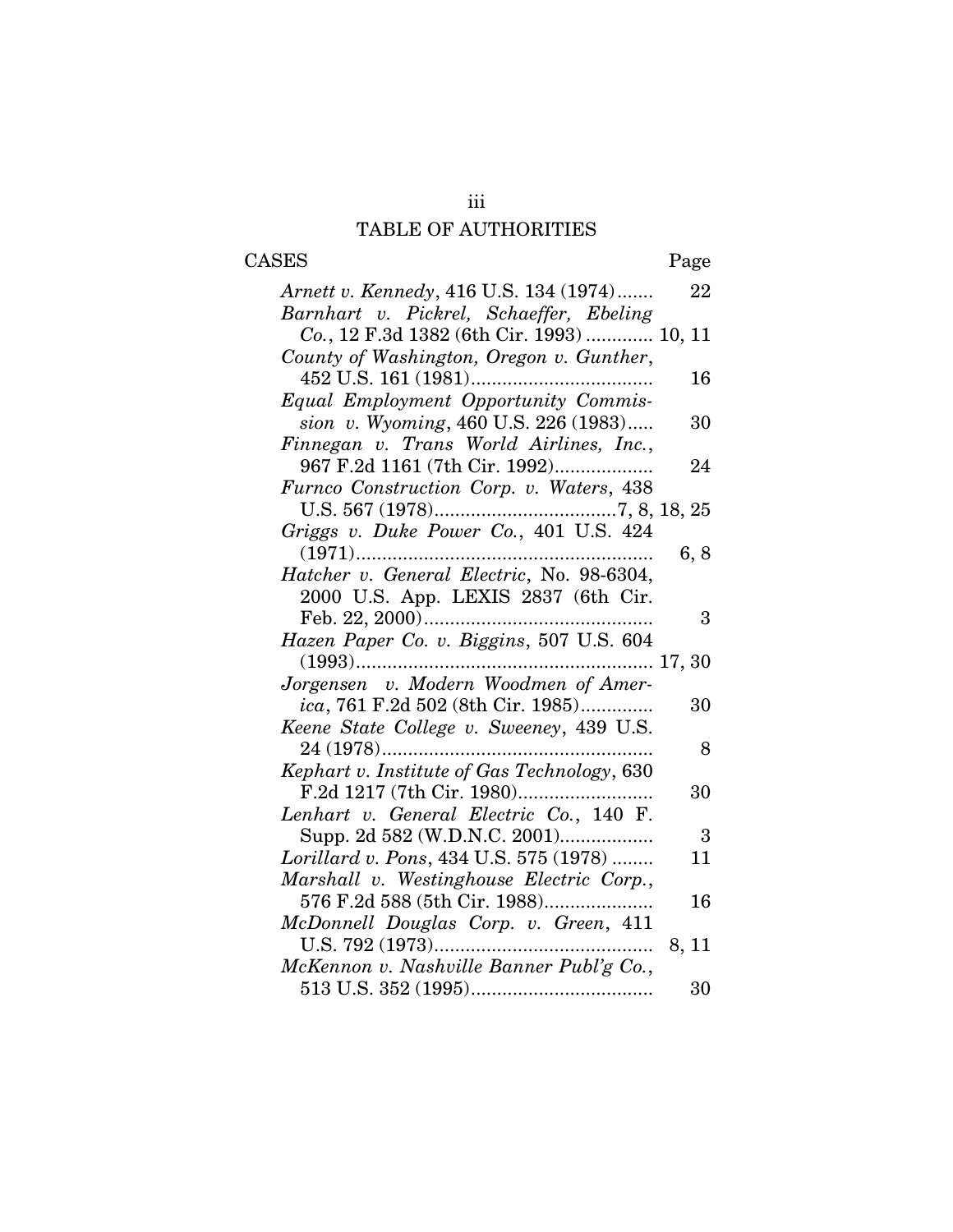### iii TABLE OF AUTHORITIES

## CASES Page

| Arnett v. Kennedy, 416 U.S. 134 (1974)      | 22             |
|---------------------------------------------|----------------|
| Barnhart v. Pickrel, Schaeffer, Ebeling     |                |
| Co., 12 F.3d 1382 (6th Cir. 1993)  10, 11   |                |
| County of Washington, Oregon v. Gunther,    |                |
|                                             | 16             |
| Equal Employment Opportunity Commis-        |                |
| sion v. Wyoming, 460 U.S. 226 (1983)        | 30             |
| Finnegan v. Trans World Airlines, Inc.,     |                |
| 967 F.2d 1161 (7th Cir. 1992)               | 24             |
| Furnco Construction Corp. v. Waters, 438    |                |
|                                             |                |
|                                             |                |
|                                             | 6, 8           |
| Hatcher v. General Electric, No. 98-6304,   |                |
| 2000 U.S. App. LEXIS 2837 (6th Cir.         |                |
|                                             | 3              |
| Hazen Paper Co. v. Biggins, 507 U.S. 604    |                |
|                                             |                |
| Jorgensen v. Modern Woodmen of Amer-        |                |
| ica, 761 F.2d 502 (8th Cir. 1985)           | 30             |
| Keene State College v. Sweeney, 439 U.S.    |                |
| 24 (1978)                                   | 8              |
| Kephart v. Institute of Gas Technology, 630 |                |
|                                             | 30             |
| Lenhart v. General Electric Co., 140 F.     |                |
| Supp. 2d 582 (W.D.N.C. 2001)                | $\overline{3}$ |
| Lorillard v. Pons, 434 U.S. 575 (1978)      | 11             |
| Marshall v. Westinghouse Electric Corp.,    |                |
| 576 F.2d 588 (5th Cir. 1988)                | 16             |
| McDonnell Douglas Corp. v. Green, 411       |                |
|                                             | 8, 11          |
| McKennon v. Nashville Banner Publ'g Co.,    |                |
|                                             | 30             |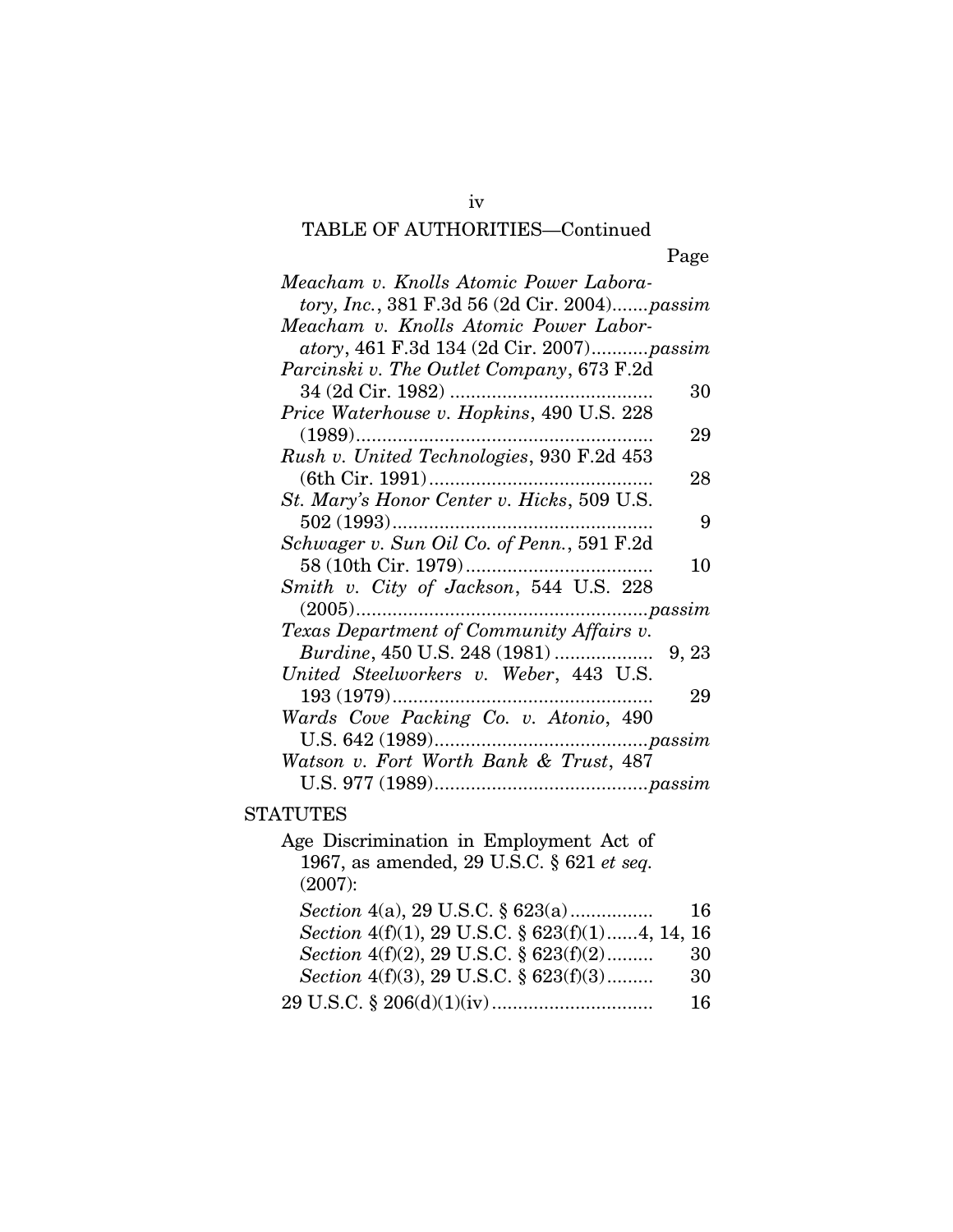### iv TABLE OF AUTHORITIES—Continued

| Meacham v. Knolls Atomic Power Labora-<br>tory, Inc., 381 F.3d 56 (2d Cir. 2004)passim |        |
|----------------------------------------------------------------------------------------|--------|
|                                                                                        |        |
| Meacham v. Knolls Atomic Power Labor-                                                  |        |
| atory, 461 F.3d 134 (2d Cir. 2007)passim                                               |        |
| Parcinski v. The Outlet Company, 673 F.2d                                              |        |
| 34 (2d Cir. 1982)                                                                      | 30     |
| Price Waterhouse v. Hopkins, 490 U.S. 228                                              |        |
|                                                                                        | 29     |
| Rush v. United Technologies, 930 F.2d 453                                              |        |
|                                                                                        | 28     |
| St. Mary's Honor Center v. Hicks, 509 U.S.                                             |        |
|                                                                                        | 9      |
| Schwager v. Sun Oil Co. of Penn., 591 F.2d                                             |        |
| 58 (10th Cir. 1979)<br>.                                                               | 10     |
| Smith v. City of Jackson, 544 U.S. 228                                                 |        |
|                                                                                        | passim |
| Texas Department of Community Affairs v.                                               |        |
| Burdine, 450 U.S. 248 (1981)                                                           | 9, 23  |
| United Steelworkers v. Weber, 443 U.S.                                                 |        |
|                                                                                        | 29     |
| Wards Cove Packing Co. v. Atonio, 490                                                  |        |
|                                                                                        |        |
| Watson v. Fort Worth Bank & Trust, 487                                                 |        |
|                                                                                        |        |
|                                                                                        |        |
| <b>STATUTES</b>                                                                        |        |
| Age Discrimination in Employment Act of                                                |        |
| 1967, as amended, 29 U.S.C. § 621 et seq.                                              |        |
| (2007):                                                                                |        |
| Section 4(a), 29 U.S.C. § 623(a)                                                       | 16     |
| Section 4(f)(1), 29 U.S.C. § 623(f)(1)4, 14, 16                                        |        |
| Section 4(f)(2), 29 U.S.C. § 623(f)(2)                                                 | 30     |
| Section 4(f)(3), 29 U.S.C. § 623(f)(3)                                                 | 30     |
|                                                                                        |        |

 $\label{eq:29} 29 \text{ U.S.C.} \ \S \ 206 \text{(d)} \text{(1)} \text{(iv)} \dots \dots \dots \dots \dots \dots \dots \dots \dots \dots \dots \dots \dots \quad \quad 16$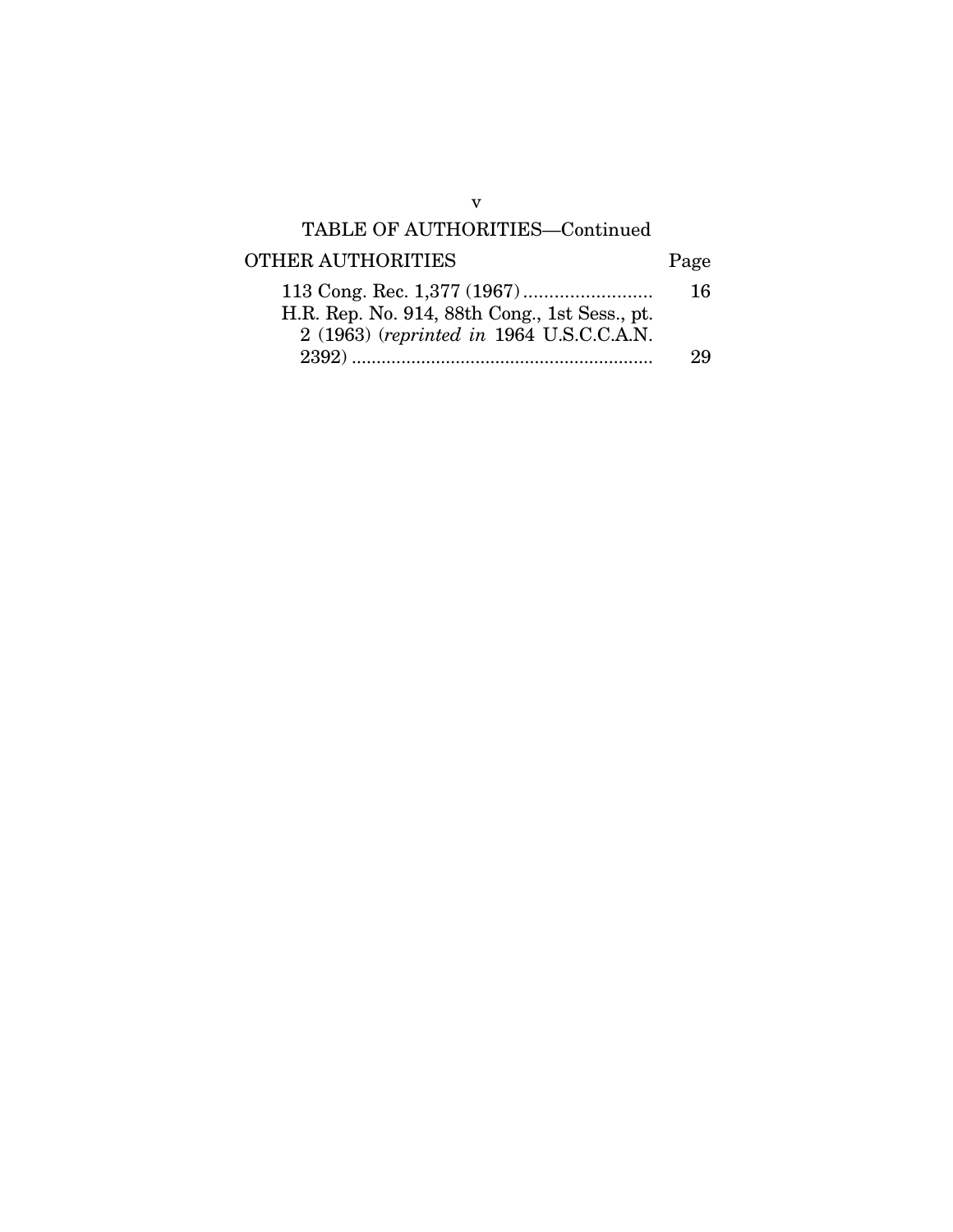### TABLE OF AUTHORITIES—Continued

# OTHER AUTHORITIES Page

|                                               | <b>16</b> |
|-----------------------------------------------|-----------|
| H.R. Rep. No. 914, 88th Cong., 1st Sess., pt. |           |
| 2 (1963) (reprinted in 1964 U.S.C.C.A.N.      |           |
|                                               | 29        |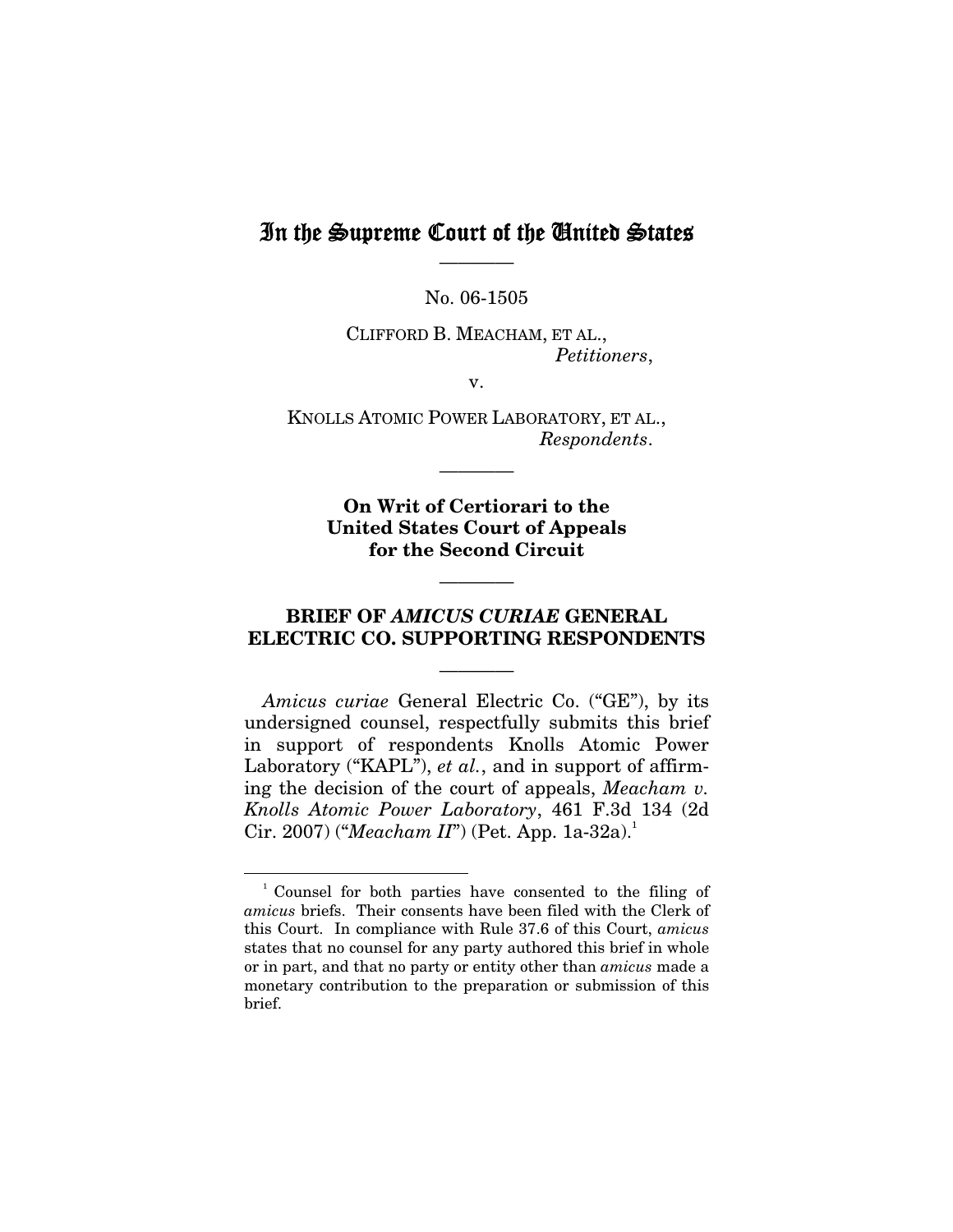### In the Supreme Court of the United States ————

No. 06-1505

CLIFFORD B. MEACHAM, ET AL., *Petitioners*,

v.

KNOLLS ATOMIC POWER LABORATORY, ET AL., *Respondents*.

————

**On Writ of Certiorari to the United States Court of Appeals for the Second Circuit** 

#### **BRIEF OF** *AMICUS CURIAE* **GENERAL ELECTRIC CO. SUPPORTING RESPONDENTS**

————

————

*Amicus curiae* General Electric Co. ("GE"), by its undersigned counsel, respectfully submits this brief in support of respondents Knolls Atomic Power Laboratory ("KAPL"), *et al.*, and in support of affirming the decision of the court of appeals, *Meacham v. Knolls Atomic Power Laboratory*, 461 F.3d 134 (2d Cir. 2007) (*"Meacham II"*) (Pet. App. 1a-32a).<sup>1</sup>

<sup>1</sup> Counsel for both parties have consented to the filing of *amicus* briefs. Their consents have been filed with the Clerk of this Court. In compliance with Rule 37.6 of this Court, *amicus*  states that no counsel for any party authored this brief in whole or in part, and that no party or entity other than *amicus* made a monetary contribution to the preparation or submission of this brief.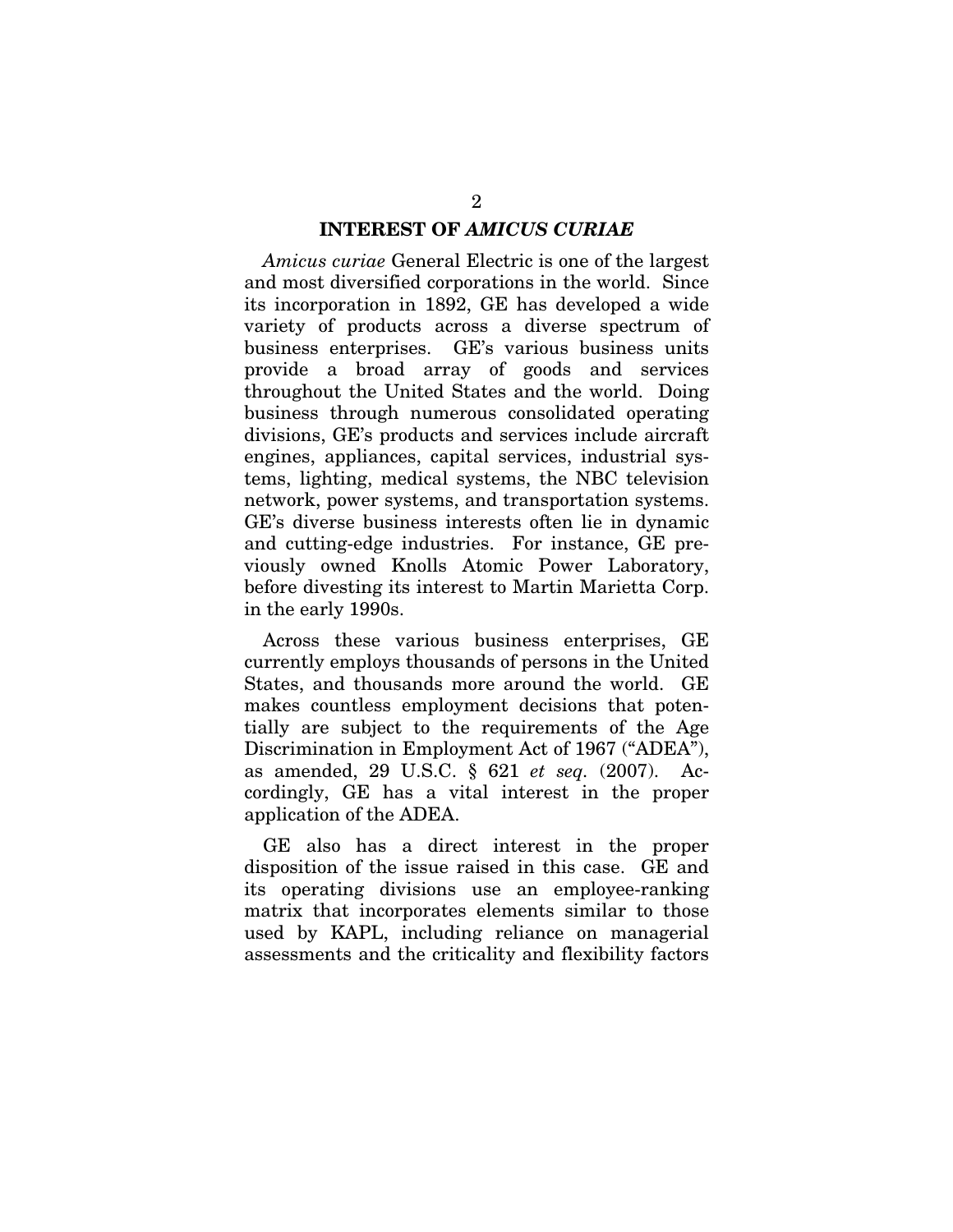#### **INTEREST OF** *AMICUS CURIAE*

*Amicus curiae* General Electric is one of the largest and most diversified corporations in the world. Since its incorporation in 1892, GE has developed a wide variety of products across a diverse spectrum of business enterprises. GE's various business units provide a broad array of goods and services throughout the United States and the world. Doing business through numerous consolidated operating divisions, GE's products and services include aircraft engines, appliances, capital services, industrial systems, lighting, medical systems, the NBC television network, power systems, and transportation systems. GE's diverse business interests often lie in dynamic and cutting-edge industries. For instance, GE previously owned Knolls Atomic Power Laboratory, before divesting its interest to Martin Marietta Corp. in the early 1990s.

Across these various business enterprises, GE currently employs thousands of persons in the United States, and thousands more around the world. GE makes countless employment decisions that potentially are subject to the requirements of the Age Discrimination in Employment Act of 1967 ("ADEA"), as amended, 29 U.S.C. § 621 *et seq.* (2007). Accordingly, GE has a vital interest in the proper application of the ADEA.

GE also has a direct interest in the proper disposition of the issue raised in this case. GE and its operating divisions use an employee-ranking matrix that incorporates elements similar to those used by KAPL, including reliance on managerial assessments and the criticality and flexibility factors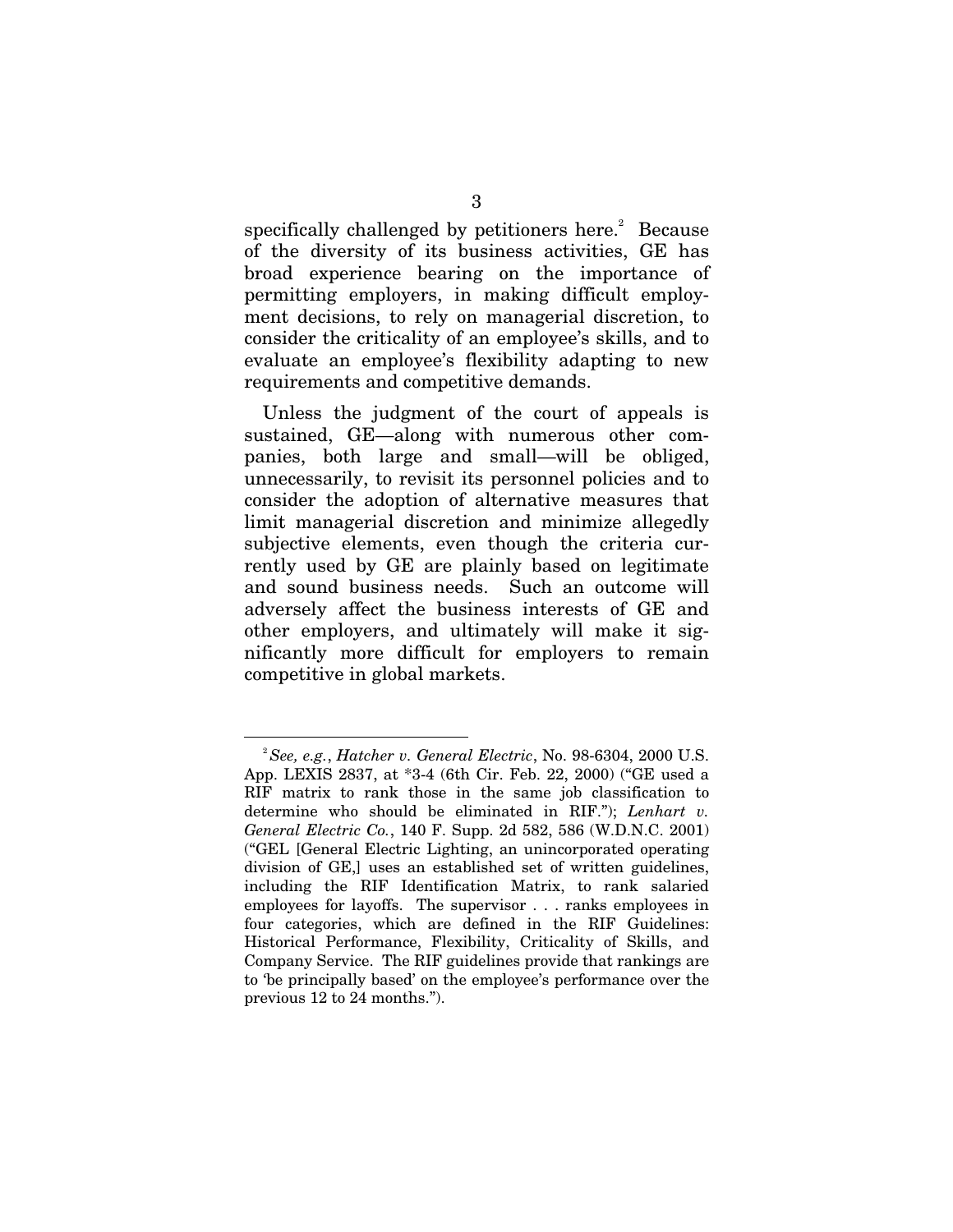specifically challenged by petitioners here. $2$  Because of the diversity of its business activities, GE has broad experience bearing on the importance of permitting employers, in making difficult employment decisions, to rely on managerial discretion, to consider the criticality of an employee's skills, and to evaluate an employee's flexibility adapting to new requirements and competitive demands.

Unless the judgment of the court of appeals is sustained, GE—along with numerous other companies, both large and small—will be obliged, unnecessarily, to revisit its personnel policies and to consider the adoption of alternative measures that limit managerial discretion and minimize allegedly subjective elements, even though the criteria currently used by GE are plainly based on legitimate and sound business needs. Such an outcome will adversely affect the business interests of GE and other employers, and ultimately will make it significantly more difficult for employers to remain competitive in global markets.

<sup>1</sup> <sup>2</sup>*See, e.g.*, *Hatcher v. General Electric*, No. 98-6304, 2000 U.S. App. LEXIS 2837, at \*3-4 (6th Cir. Feb. 22, 2000) ("GE used a RIF matrix to rank those in the same job classification to determine who should be eliminated in RIF."); *Lenhart v. General Electric Co.*, 140 F. Supp. 2d 582, 586 (W.D.N.C. 2001) ("GEL [General Electric Lighting, an unincorporated operating division of GE,] uses an established set of written guidelines, including the RIF Identification Matrix, to rank salaried employees for layoffs. The supervisor . . . ranks employees in four categories, which are defined in the RIF Guidelines: Historical Performance, Flexibility, Criticality of Skills, and Company Service. The RIF guidelines provide that rankings are to 'be principally based' on the employee's performance over the previous 12 to 24 months.").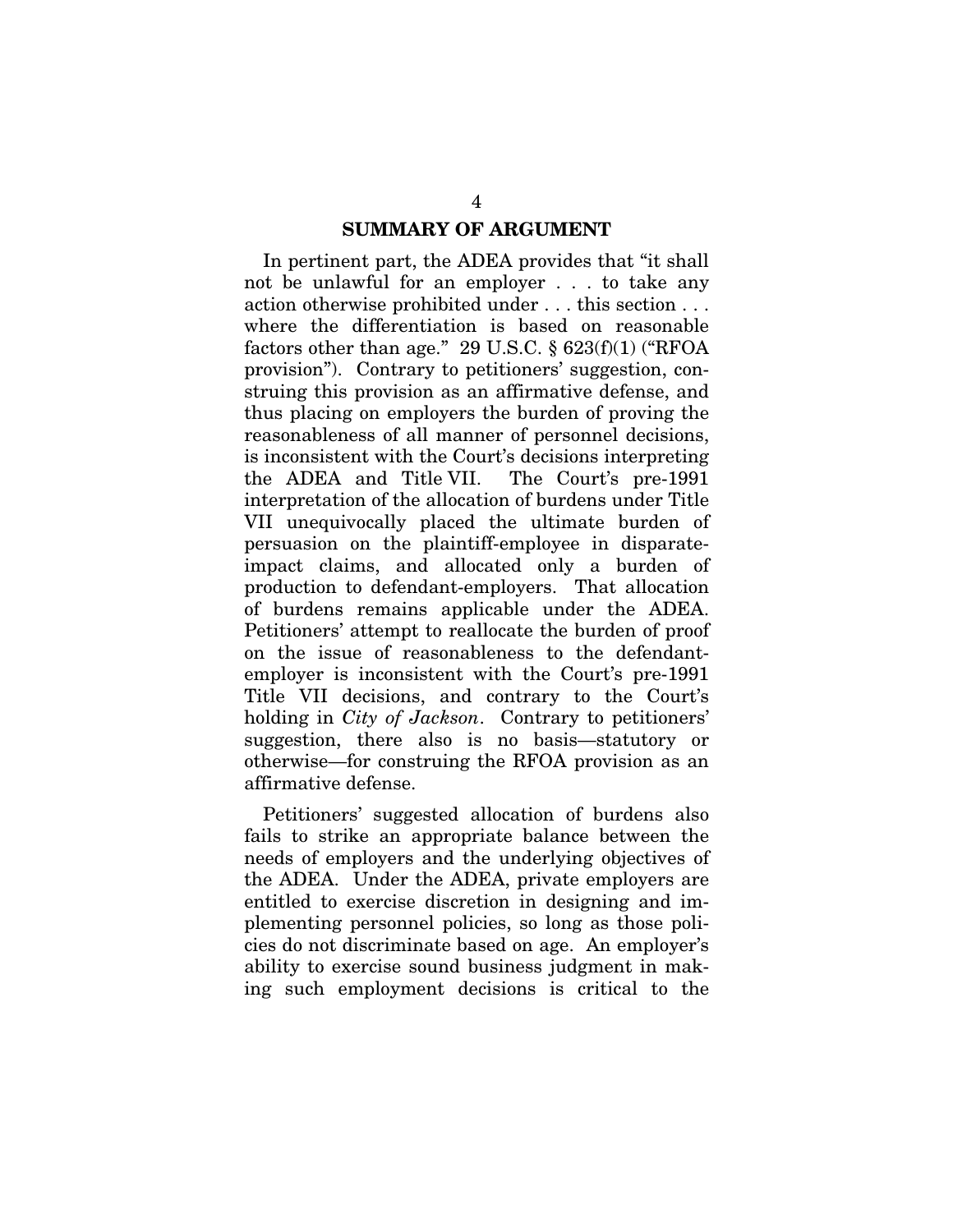#### **SUMMARY OF ARGUMENT**

In pertinent part, the ADEA provides that "it shall not be unlawful for an employer . . . to take any action otherwise prohibited under . . . this section . . . where the differentiation is based on reasonable factors other than age." 29 U.S.C.  $\S$  623(f)(1) ("RFOA provision"). Contrary to petitioners' suggestion, construing this provision as an affirmative defense, and thus placing on employers the burden of proving the reasonableness of all manner of personnel decisions, is inconsistent with the Court's decisions interpreting the ADEA and Title VII. The Court's pre-1991 interpretation of the allocation of burdens under Title VII unequivocally placed the ultimate burden of persuasion on the plaintiff-employee in disparateimpact claims, and allocated only a burden of production to defendant-employers. That allocation of burdens remains applicable under the ADEA. Petitioners' attempt to reallocate the burden of proof on the issue of reasonableness to the defendantemployer is inconsistent with the Court's pre-1991 Title VII decisions, and contrary to the Court's holding in *City of Jackson*. Contrary to petitioners' suggestion, there also is no basis—statutory or otherwise—for construing the RFOA provision as an affirmative defense.

Petitioners' suggested allocation of burdens also fails to strike an appropriate balance between the needs of employers and the underlying objectives of the ADEA. Under the ADEA, private employers are entitled to exercise discretion in designing and implementing personnel policies, so long as those policies do not discriminate based on age. An employer's ability to exercise sound business judgment in making such employment decisions is critical to the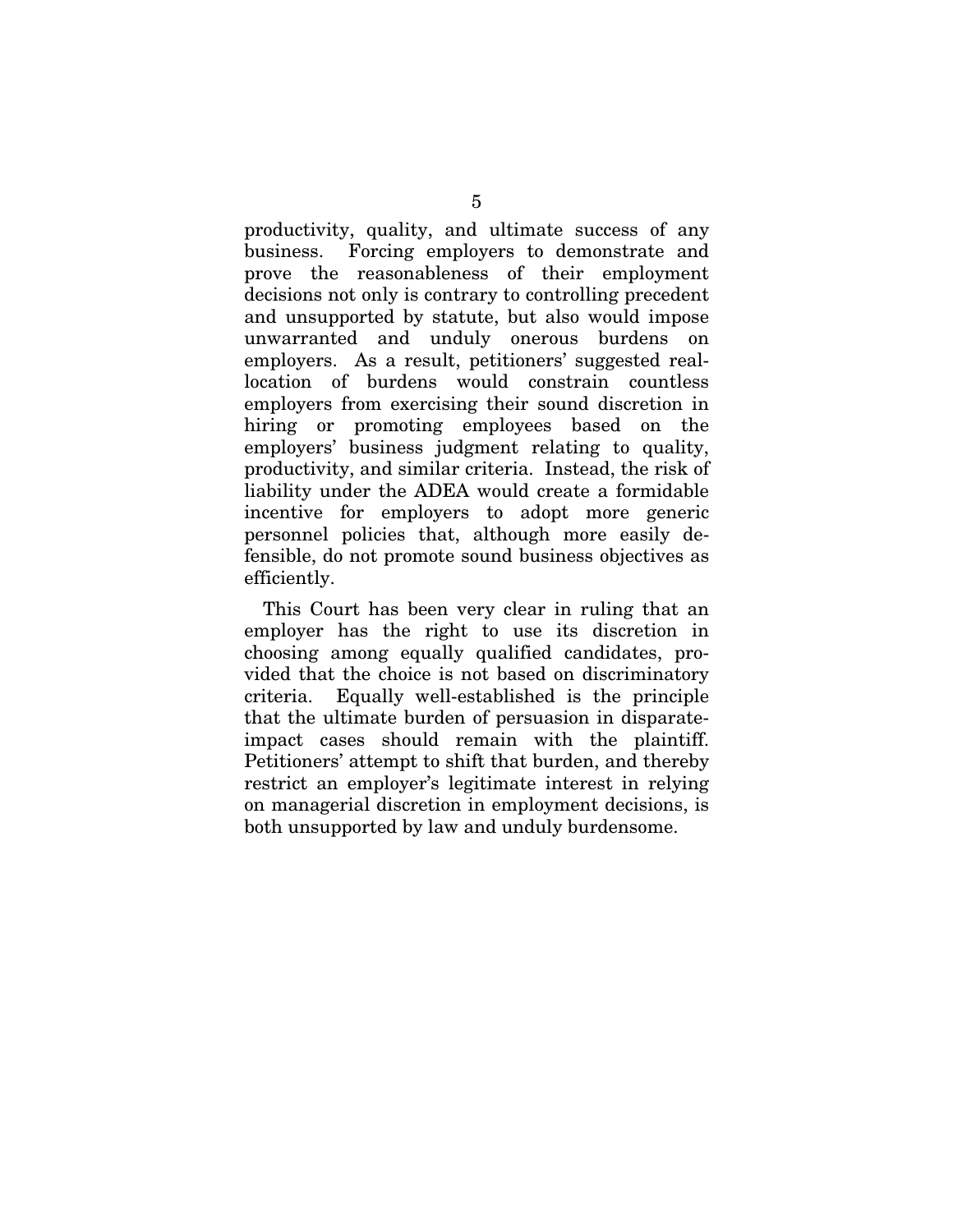productivity, quality, and ultimate success of any business. Forcing employers to demonstrate and prove the reasonableness of their employment decisions not only is contrary to controlling precedent and unsupported by statute, but also would impose unwarranted and unduly onerous burdens on employers. As a result, petitioners' suggested reallocation of burdens would constrain countless employers from exercising their sound discretion in hiring or promoting employees based on the employers' business judgment relating to quality, productivity, and similar criteria. Instead, the risk of liability under the ADEA would create a formidable incentive for employers to adopt more generic personnel policies that, although more easily defensible, do not promote sound business objectives as efficiently.

This Court has been very clear in ruling that an employer has the right to use its discretion in choosing among equally qualified candidates, provided that the choice is not based on discriminatory criteria. Equally well-established is the principle that the ultimate burden of persuasion in disparateimpact cases should remain with the plaintiff. Petitioners' attempt to shift that burden, and thereby restrict an employer's legitimate interest in relying on managerial discretion in employment decisions, is both unsupported by law and unduly burdensome.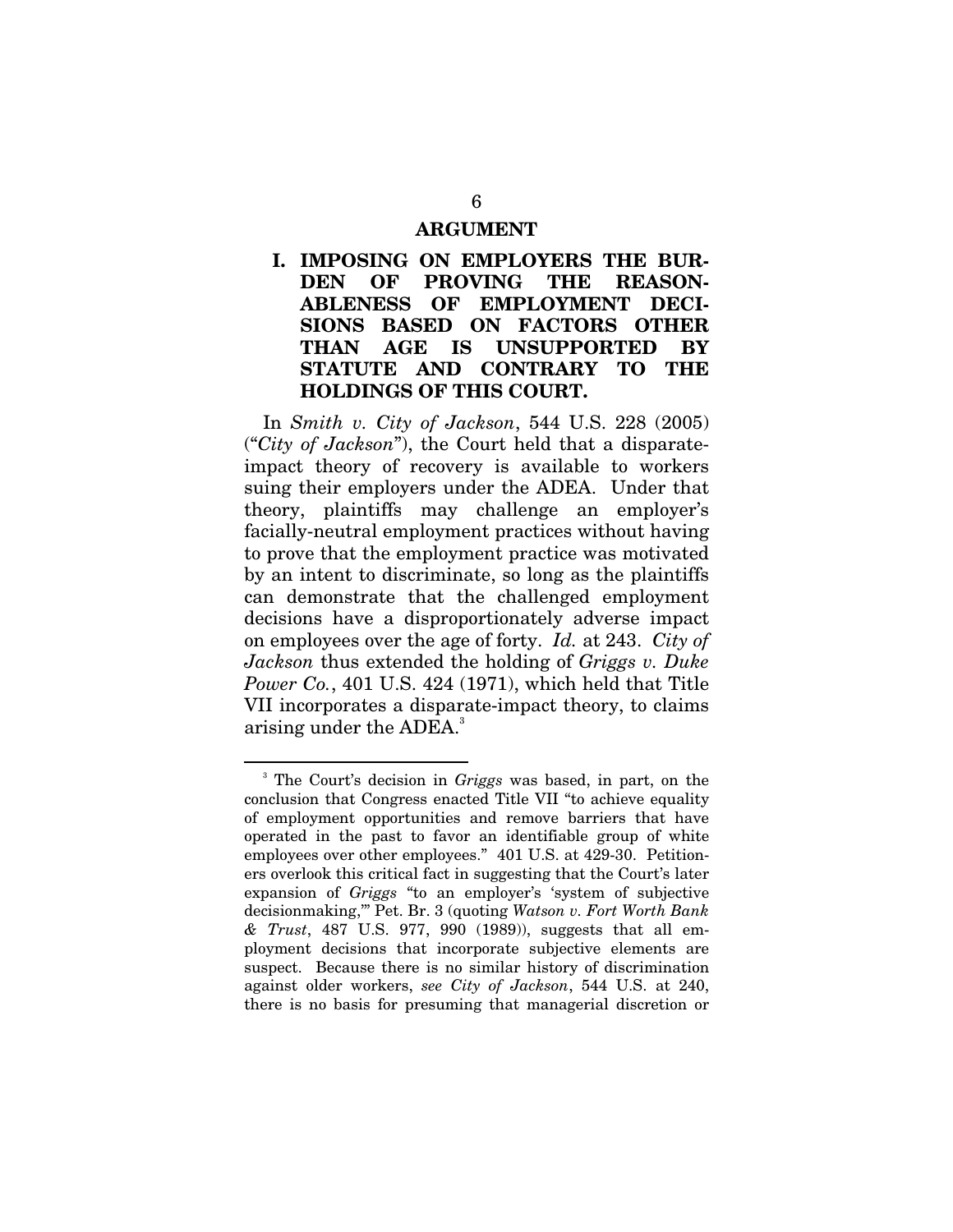#### **ARGUMENT**

#### **I. IMPOSING ON EMPLOYERS THE BUR-DEN OF PROVING THE REASON-ABLENESS OF EMPLOYMENT DECI-SIONS BASED ON FACTORS OTHER THAN AGE IS UNSUPPORTED BY STATUTE AND CONTRARY TO THE HOLDINGS OF THIS COURT.**

In *Smith v. City of Jackson*, 544 U.S. 228 (2005) ("*City of Jackson*"), the Court held that a disparateimpact theory of recovery is available to workers suing their employers under the ADEA. Under that theory, plaintiffs may challenge an employer's facially-neutral employment practices without having to prove that the employment practice was motivated by an intent to discriminate, so long as the plaintiffs can demonstrate that the challenged employment decisions have a disproportionately adverse impact on employees over the age of forty. *Id.* at 243. *City of Jackson* thus extended the holding of *Griggs v. Duke Power Co.*, 401 U.S. 424 (1971), which held that Title VII incorporates a disparate-impact theory, to claims arising under the ADEA.<sup>3</sup>

<sup>3</sup> The Court's decision in *Griggs* was based, in part, on the conclusion that Congress enacted Title VII "to achieve equality of employment opportunities and remove barriers that have operated in the past to favor an identifiable group of white employees over other employees." 401 U.S. at 429-30. Petitioners overlook this critical fact in suggesting that the Court's later expansion of *Griggs* "to an employer's 'system of subjective decisionmaking,'" Pet. Br. 3 (quoting *Watson v. Fort Worth Bank & Trust*, 487 U.S. 977, 990 (1989)), suggests that all employment decisions that incorporate subjective elements are suspect. Because there is no similar history of discrimination against older workers, *see City of Jackson*, 544 U.S. at 240, there is no basis for presuming that managerial discretion or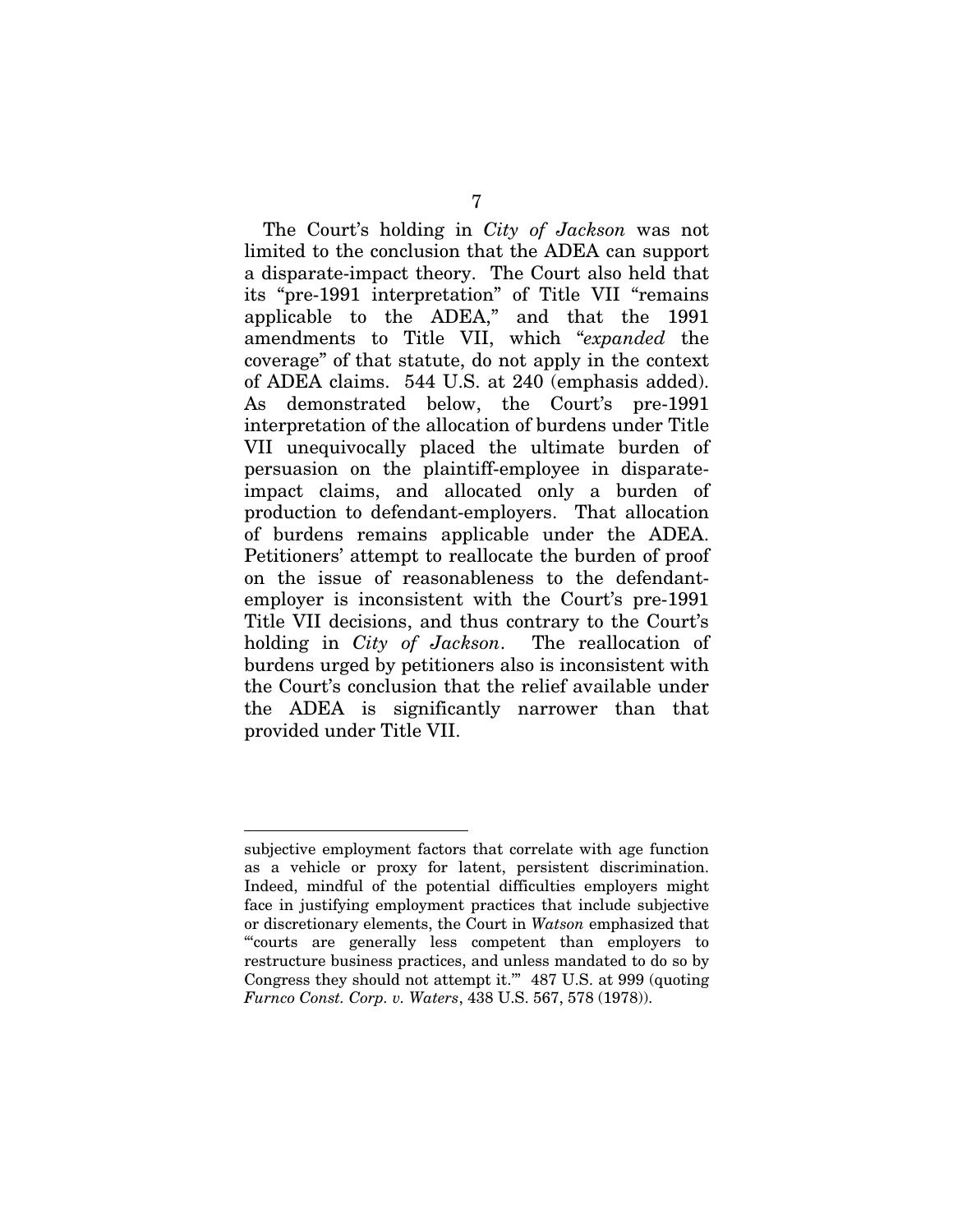The Court's holding in *City of Jackson* was not limited to the conclusion that the ADEA can support a disparate-impact theory. The Court also held that its "pre-1991 interpretation" of Title VII "remains applicable to the ADEA," and that the 1991 amendments to Title VII, which "*expanded* the coverage" of that statute, do not apply in the context of ADEA claims. 544 U.S. at 240 (emphasis added). As demonstrated below, the Court's pre-1991 interpretation of the allocation of burdens under Title VII unequivocally placed the ultimate burden of persuasion on the plaintiff-employee in disparateimpact claims, and allocated only a burden of production to defendant-employers. That allocation of burdens remains applicable under the ADEA. Petitioners' attempt to reallocate the burden of proof on the issue of reasonableness to the defendantemployer is inconsistent with the Court's pre-1991 Title VII decisions, and thus contrary to the Court's holding in *City of Jackson*. The reallocation of burdens urged by petitioners also is inconsistent with the Court's conclusion that the relief available under the ADEA is significantly narrower than that provided under Title VII.

subjective employment factors that correlate with age function as a vehicle or proxy for latent, persistent discrimination. Indeed, mindful of the potential difficulties employers might face in justifying employment practices that include subjective or discretionary elements, the Court in *Watson* emphasized that "'courts are generally less competent than employers to restructure business practices, and unless mandated to do so by Congress they should not attempt it.'" 487 U.S. at 999 (quoting *Furnco Const. Corp. v. Waters*, 438 U.S. 567, 578 (1978)).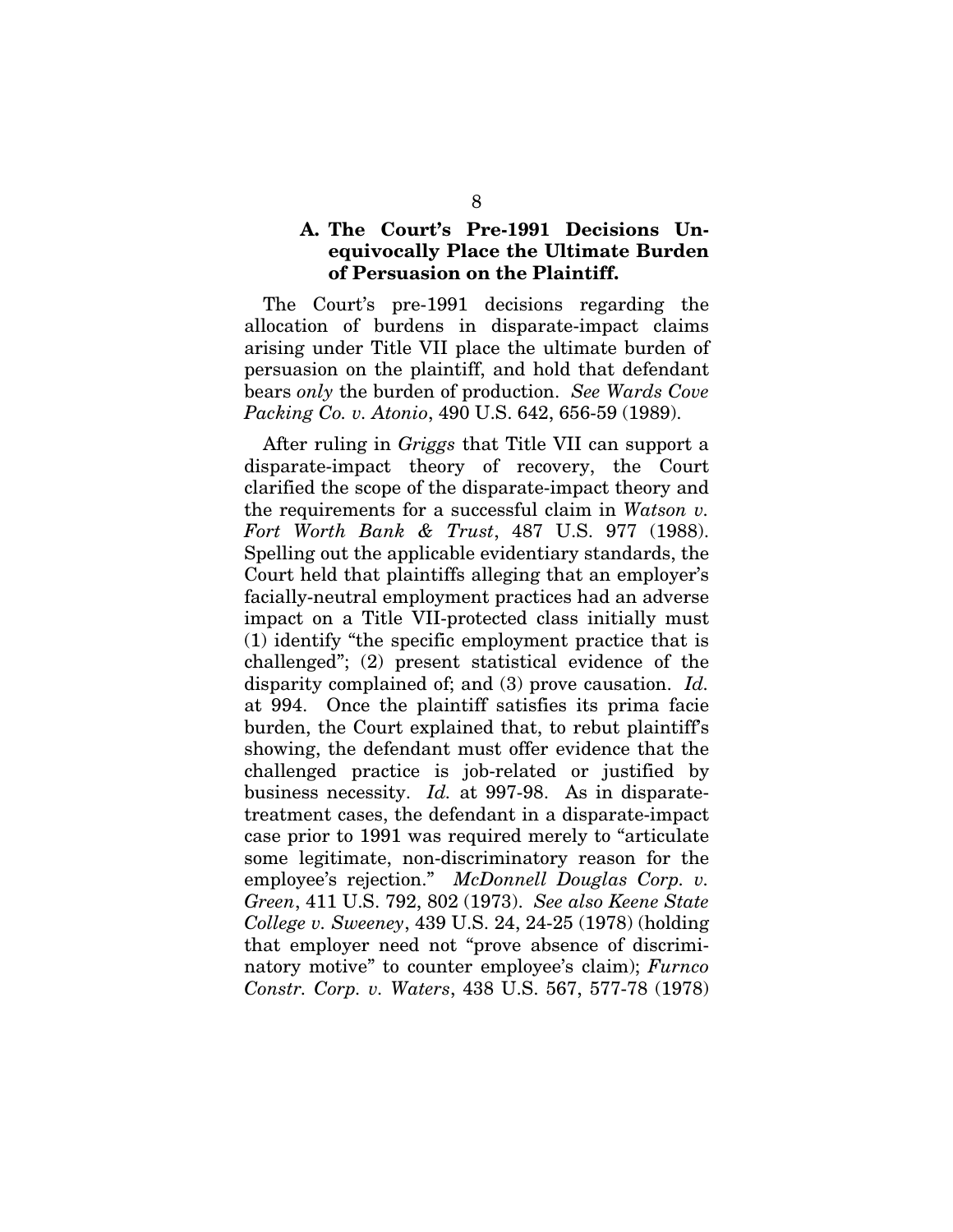#### **A. The Court's Pre-1991 Decisions Unequivocally Place the Ultimate Burden of Persuasion on the Plaintiff.**

The Court's pre-1991 decisions regarding the allocation of burdens in disparate-impact claims arising under Title VII place the ultimate burden of persuasion on the plaintiff, and hold that defendant bears *only* the burden of production. *See Wards Cove Packing Co. v. Atonio*, 490 U.S. 642, 656-59 (1989).

After ruling in *Griggs* that Title VII can support a disparate-impact theory of recovery, the Court clarified the scope of the disparate-impact theory and the requirements for a successful claim in *Watson v. Fort Worth Bank & Trust*, 487 U.S. 977 (1988). Spelling out the applicable evidentiary standards, the Court held that plaintiffs alleging that an employer's facially-neutral employment practices had an adverse impact on a Title VII-protected class initially must (1) identify "the specific employment practice that is challenged"; (2) present statistical evidence of the disparity complained of; and (3) prove causation. *Id.* at 994. Once the plaintiff satisfies its prima facie burden, the Court explained that, to rebut plaintiff's showing, the defendant must offer evidence that the challenged practice is job-related or justified by business necessity. *Id.* at 997-98. As in disparatetreatment cases, the defendant in a disparate-impact case prior to 1991 was required merely to "articulate some legitimate, non-discriminatory reason for the employee's rejection." *McDonnell Douglas Corp. v. Green*, 411 U.S. 792, 802 (1973). *See also Keene State College v. Sweeney*, 439 U.S. 24, 24-25 (1978) (holding that employer need not "prove absence of discriminatory motive" to counter employee's claim); *Furnco Constr. Corp. v. Waters*, 438 U.S. 567, 577-78 (1978)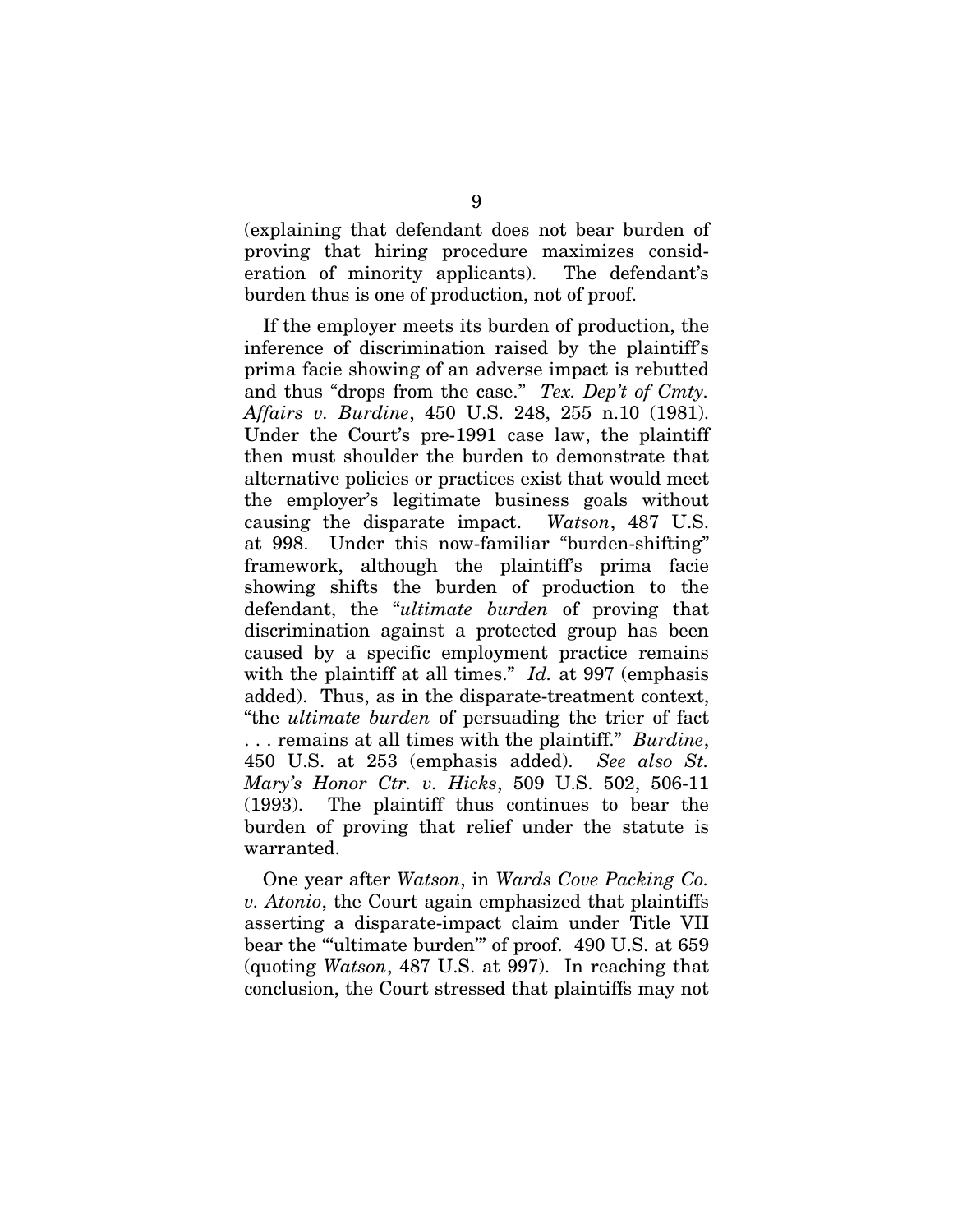(explaining that defendant does not bear burden of proving that hiring procedure maximizes consideration of minority applicants). The defendant's burden thus is one of production, not of proof.

If the employer meets its burden of production, the inference of discrimination raised by the plaintiff's prima facie showing of an adverse impact is rebutted and thus "drops from the case." *Tex. Dep't of Cmty. Affairs v. Burdine*, 450 U.S. 248, 255 n.10 (1981). Under the Court's pre-1991 case law, the plaintiff then must shoulder the burden to demonstrate that alternative policies or practices exist that would meet the employer's legitimate business goals without causing the disparate impact. *Watson*, 487 U.S. at 998. Under this now-familiar "burden-shifting" framework, although the plaintiff's prima facie showing shifts the burden of production to the defendant, the "*ultimate burden* of proving that discrimination against a protected group has been caused by a specific employment practice remains with the plaintiff at all times." *Id.* at 997 (emphasis added). Thus, as in the disparate-treatment context, "the *ultimate burden* of persuading the trier of fact . . . remains at all times with the plaintiff." *Burdine*, 450 U.S. at 253 (emphasis added). *See also St. Mary's Honor Ctr. v. Hicks*, 509 U.S. 502, 506-11 (1993). The plaintiff thus continues to bear the burden of proving that relief under the statute is warranted.

One year after *Watson*, in *Wards Cove Packing Co. v. Atonio*, the Court again emphasized that plaintiffs asserting a disparate-impact claim under Title VII bear the ""ultimate burden" of proof. 490 U.S. at 659 (quoting *Watson*, 487 U.S. at 997). In reaching that conclusion, the Court stressed that plaintiffs may not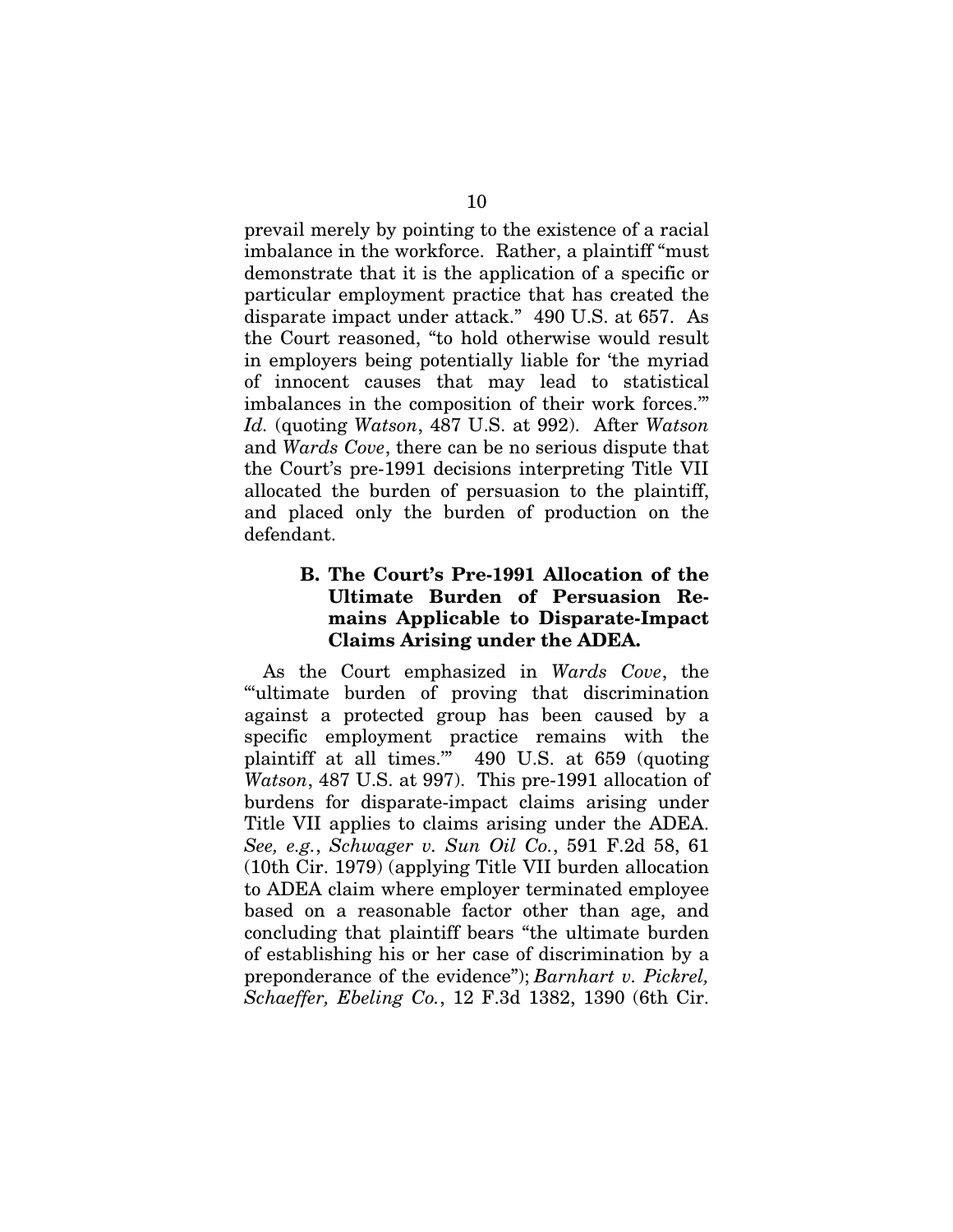prevail merely by pointing to the existence of a racial imbalance in the workforce. Rather, a plaintiff "must demonstrate that it is the application of a specific or particular employment practice that has created the disparate impact under attack." 490 U.S. at 657. As the Court reasoned, "to hold otherwise would result in employers being potentially liable for 'the myriad of innocent causes that may lead to statistical imbalances in the composition of their work forces.'" *Id.* (quoting *Watson*, 487 U.S. at 992). After *Watson*  and *Wards Cove*, there can be no serious dispute that the Court's pre-1991 decisions interpreting Title VII allocated the burden of persuasion to the plaintiff, and placed only the burden of production on the defendant.

#### **B. The Court's Pre-1991 Allocation of the Ultimate Burden of Persuasion Remains Applicable to Disparate-Impact Claims Arising under the ADEA.**

As the Court emphasized in *Wards Cove*, the "'ultimate burden of proving that discrimination against a protected group has been caused by a specific employment practice remains with the plaintiff at all times.'" 490 U.S. at 659 (quoting *Watson*, 487 U.S. at 997). This pre-1991 allocation of burdens for disparate-impact claims arising under Title VII applies to claims arising under the ADEA. *See, e.g.*, *Schwager v. Sun Oil Co.*, 591 F.2d 58, 61 (10th Cir. 1979) (applying Title VII burden allocation to ADEA claim where employer terminated employee based on a reasonable factor other than age, and concluding that plaintiff bears "the ultimate burden of establishing his or her case of discrimination by a preponderance of the evidence"); *Barnhart v. Pickrel, Schaeffer, Ebeling Co.*, 12 F.3d 1382, 1390 (6th Cir.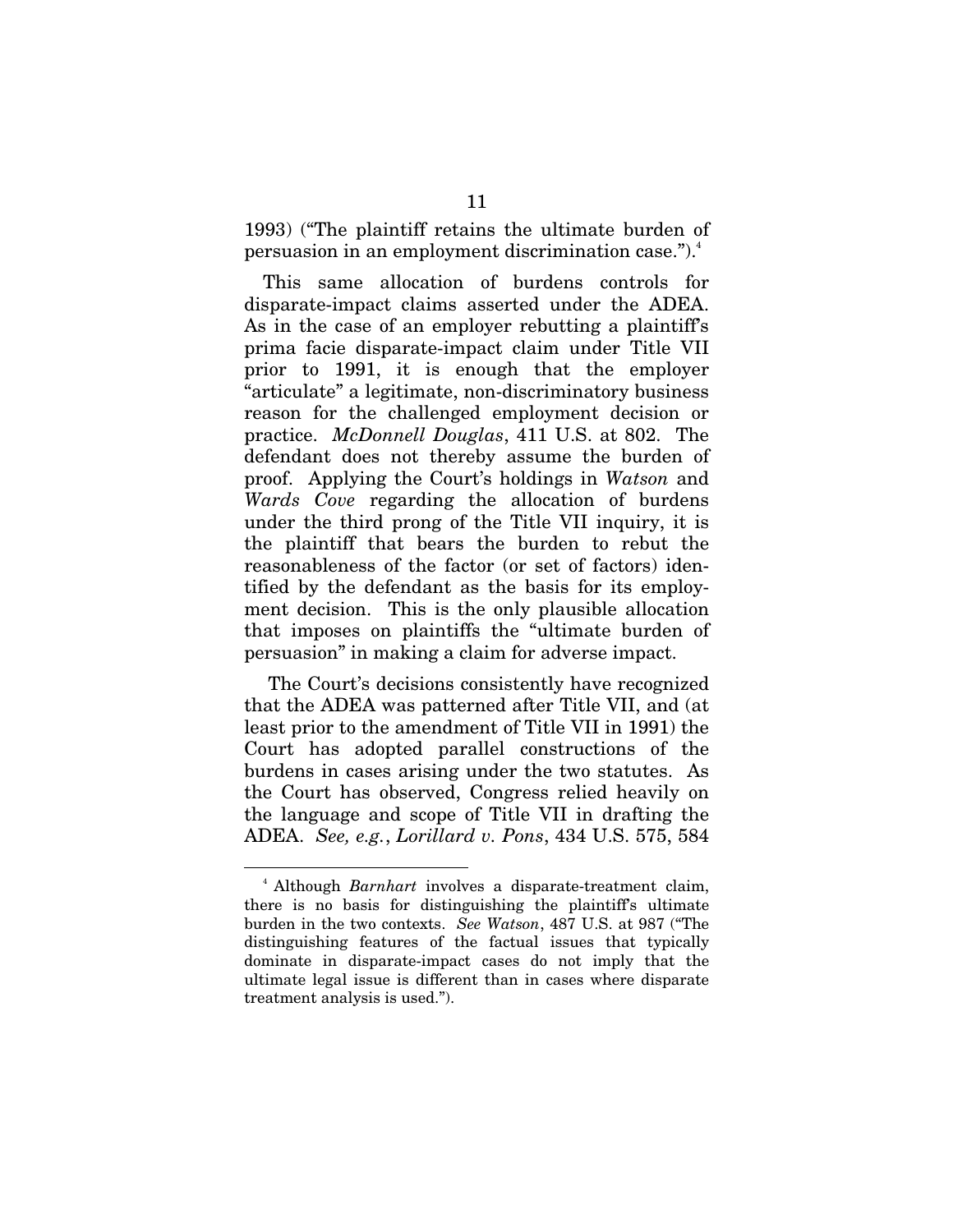1993) ("The plaintiff retains the ultimate burden of persuasion in an employment discrimination case.").<sup>4</sup>

This same allocation of burdens controls for disparate-impact claims asserted under the ADEA. As in the case of an employer rebutting a plaintiff's prima facie disparate-impact claim under Title VII prior to 1991, it is enough that the employer "articulate" a legitimate, non-discriminatory business reason for the challenged employment decision or practice. *McDonnell Douglas*, 411 U.S. at 802. The defendant does not thereby assume the burden of proof. Applying the Court's holdings in *Watson* and *Wards Cove* regarding the allocation of burdens under the third prong of the Title VII inquiry, it is the plaintiff that bears the burden to rebut the reasonableness of the factor (or set of factors) identified by the defendant as the basis for its employment decision. This is the only plausible allocation that imposes on plaintiffs the "ultimate burden of persuasion" in making a claim for adverse impact.

 The Court's decisions consistently have recognized that the ADEA was patterned after Title VII, and (at least prior to the amendment of Title VII in 1991) the Court has adopted parallel constructions of the burdens in cases arising under the two statutes. As the Court has observed, Congress relied heavily on the language and scope of Title VII in drafting the ADEA. *See, e.g.*, *Lorillard v. Pons*, 434 U.S. 575, 584

<sup>4</sup> Although *Barnhart* involves a disparate-treatment claim, there is no basis for distinguishing the plaintiff's ultimate burden in the two contexts. *See Watson*, 487 U.S. at 987 ("The distinguishing features of the factual issues that typically dominate in disparate-impact cases do not imply that the ultimate legal issue is different than in cases where disparate treatment analysis is used.").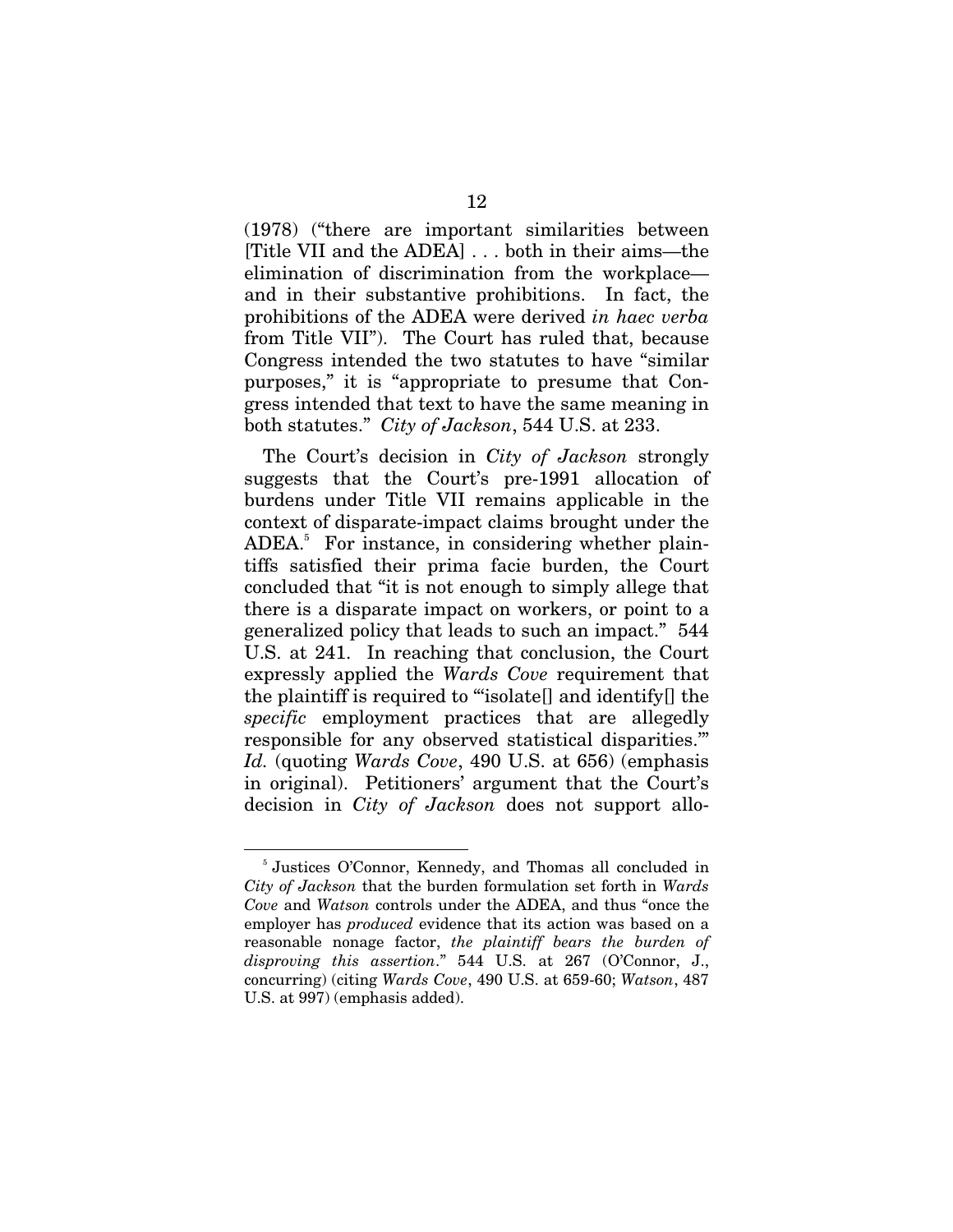(1978) ("there are important similarities between [Title VII and the ADEA] . . . both in their aims—the elimination of discrimination from the workplace and in their substantive prohibitions. In fact, the prohibitions of the ADEA were derived *in haec verba* from Title VII"). The Court has ruled that, because Congress intended the two statutes to have "similar purposes," it is "appropriate to presume that Congress intended that text to have the same meaning in both statutes." *City of Jackson*, 544 U.S. at 233.

The Court's decision in *City of Jackson* strongly suggests that the Court's pre-1991 allocation of burdens under Title VII remains applicable in the context of disparate-impact claims brought under the ADEA.<sup>5</sup> For instance, in considering whether plaintiffs satisfied their prima facie burden, the Court concluded that "it is not enough to simply allege that there is a disparate impact on workers, or point to a generalized policy that leads to such an impact." 544 U.S. at 241. In reaching that conclusion, the Court expressly applied the *Wards Cove* requirement that the plaintiff is required to "'isolate[] and identify[] the *specific* employment practices that are allegedly responsible for any observed statistical disparities.'" *Id.* (quoting *Wards Cove*, 490 U.S. at 656) (emphasis in original). Petitioners' argument that the Court's decision in *City of Jackson* does not support allo-

<sup>5</sup> Justices O'Connor, Kennedy, and Thomas all concluded in *City of Jackson* that the burden formulation set forth in *Wards Cove* and *Watson* controls under the ADEA, and thus "once the employer has *produced* evidence that its action was based on a reasonable nonage factor, *the plaintiff bears the burden of disproving this assertion*." 544 U.S. at 267 (O'Connor, J., concurring) (citing *Wards Cove*, 490 U.S. at 659-60; *Watson*, 487 U.S. at 997) (emphasis added).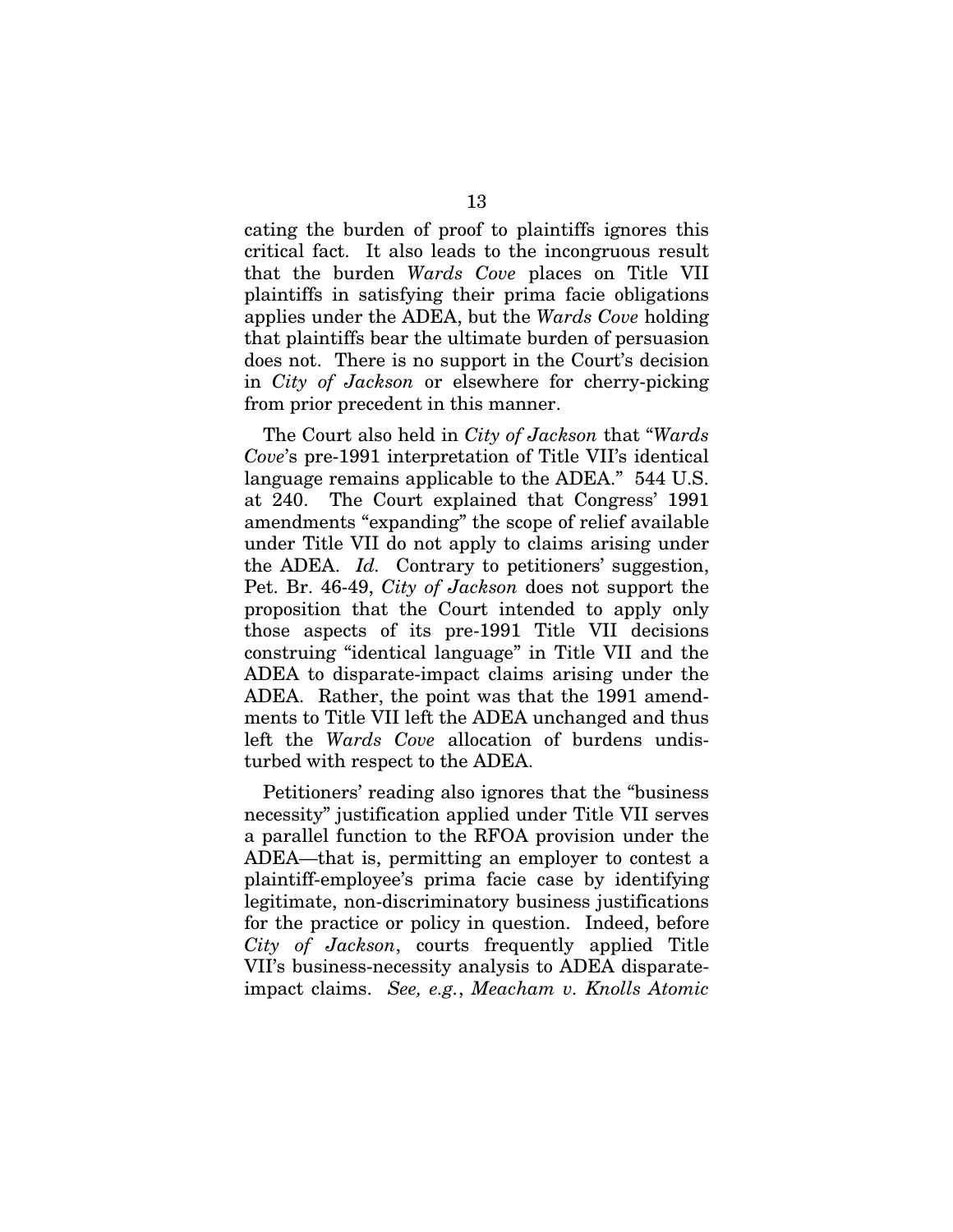cating the burden of proof to plaintiffs ignores this critical fact. It also leads to the incongruous result that the burden *Wards Cove* places on Title VII plaintiffs in satisfying their prima facie obligations applies under the ADEA, but the *Wards Cove* holding that plaintiffs bear the ultimate burden of persuasion does not. There is no support in the Court's decision in *City of Jackson* or elsewhere for cherry-picking from prior precedent in this manner.

The Court also held in *City of Jackson* that "*Wards Cove*'s pre-1991 interpretation of Title VII's identical language remains applicable to the ADEA." 544 U.S. at 240. The Court explained that Congress' 1991 amendments "expanding" the scope of relief available under Title VII do not apply to claims arising under the ADEA. *Id.* Contrary to petitioners' suggestion, Pet. Br. 46-49, *City of Jackson* does not support the proposition that the Court intended to apply only those aspects of its pre-1991 Title VII decisions construing "identical language" in Title VII and the ADEA to disparate-impact claims arising under the ADEA. Rather, the point was that the 1991 amendments to Title VII left the ADEA unchanged and thus left the *Wards Cove* allocation of burdens undisturbed with respect to the ADEA.

Petitioners' reading also ignores that the "business necessity" justification applied under Title VII serves a parallel function to the RFOA provision under the ADEA—that is, permitting an employer to contest a plaintiff-employee's prima facie case by identifying legitimate, non-discriminatory business justifications for the practice or policy in question. Indeed, before *City of Jackson*, courts frequently applied Title VII's business-necessity analysis to ADEA disparateimpact claims. *See, e.g.*, *Meacham v. Knolls Atomic*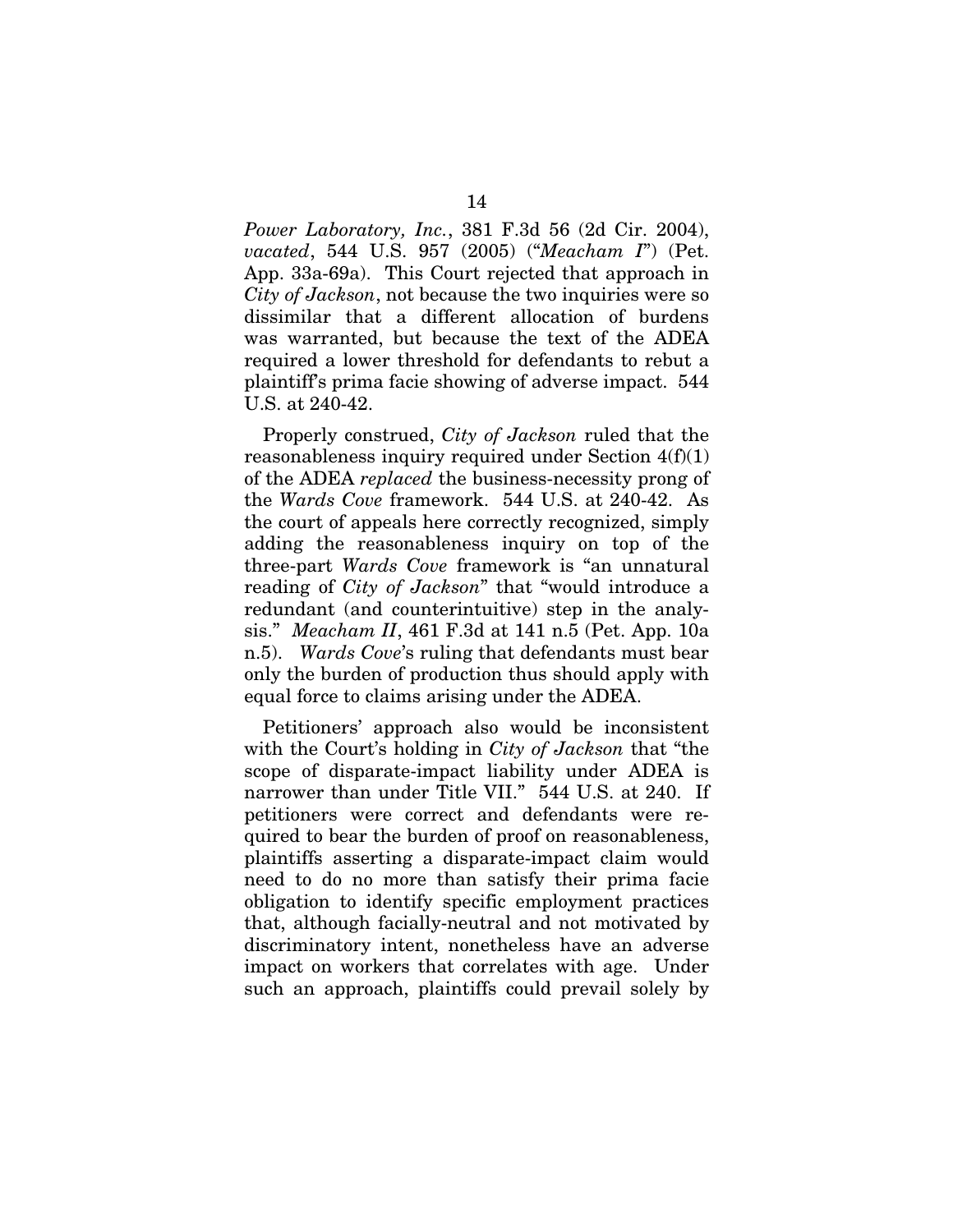*Power Laboratory, Inc.*, 381 F.3d 56 (2d Cir. 2004), *vacated*, 544 U.S. 957 (2005) ("*Meacham I*") (Pet. App. 33a-69a). This Court rejected that approach in *City of Jackson*, not because the two inquiries were so dissimilar that a different allocation of burdens was warranted, but because the text of the ADEA required a lower threshold for defendants to rebut a plaintiff's prima facie showing of adverse impact. 544 U.S. at 240-42.

Properly construed, *City of Jackson* ruled that the reasonableness inquiry required under Section  $4(f)(1)$ of the ADEA *replaced* the business-necessity prong of the *Wards Cove* framework. 544 U.S. at 240-42. As the court of appeals here correctly recognized, simply adding the reasonableness inquiry on top of the three-part *Wards Cove* framework is "an unnatural reading of *City of Jackson*" that "would introduce a redundant (and counterintuitive) step in the analysis." *Meacham II*, 461 F.3d at 141 n.5 (Pet. App. 10a n.5). *Wards Cove*'s ruling that defendants must bear only the burden of production thus should apply with equal force to claims arising under the ADEA.

Petitioners' approach also would be inconsistent with the Court's holding in *City of Jackson* that "the scope of disparate-impact liability under ADEA is narrower than under Title VII." 544 U.S. at 240. If petitioners were correct and defendants were required to bear the burden of proof on reasonableness, plaintiffs asserting a disparate-impact claim would need to do no more than satisfy their prima facie obligation to identify specific employment practices that, although facially-neutral and not motivated by discriminatory intent, nonetheless have an adverse impact on workers that correlates with age. Under such an approach, plaintiffs could prevail solely by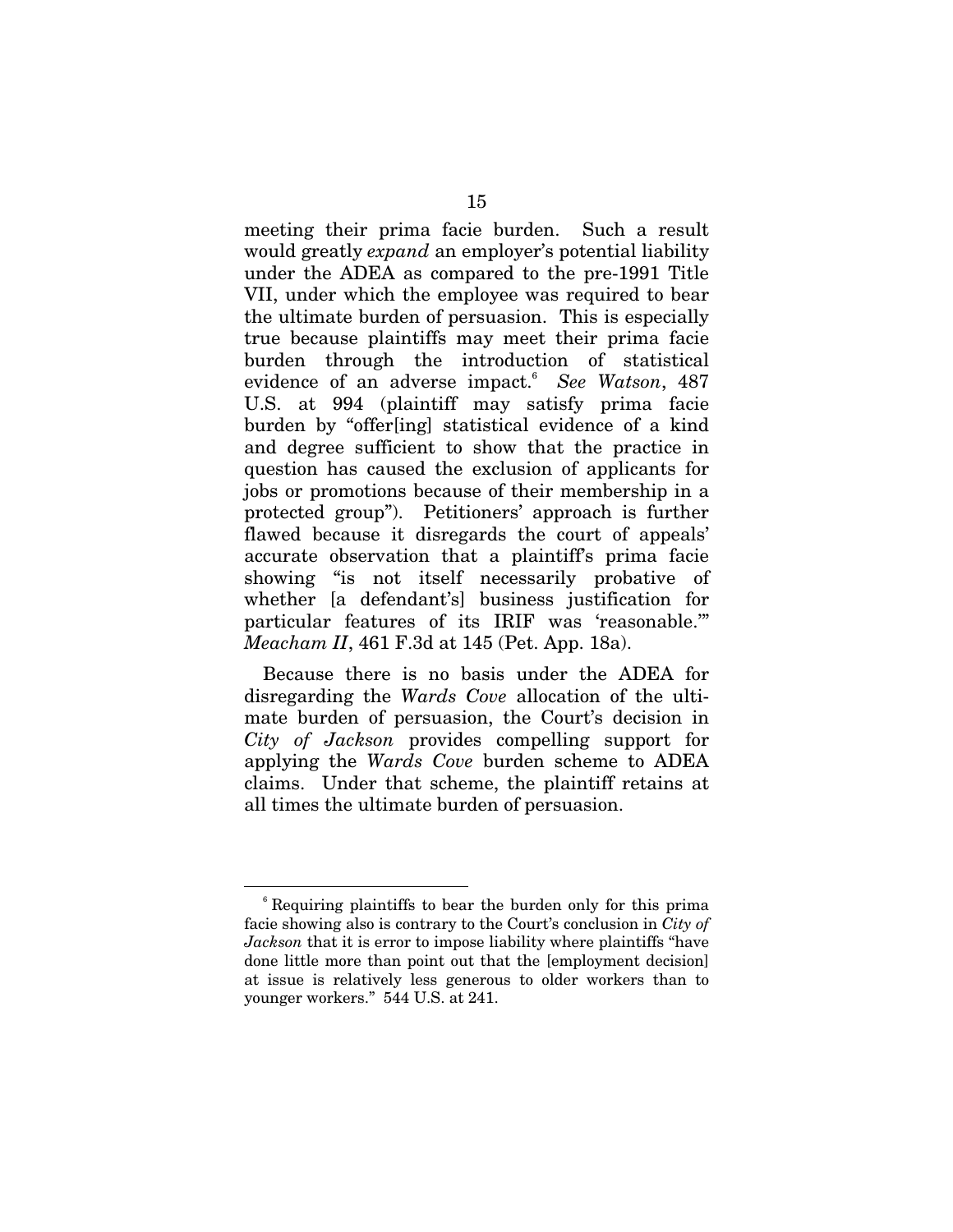meeting their prima facie burden. Such a result would greatly *expand* an employer's potential liability under the ADEA as compared to the pre-1991 Title VII, under which the employee was required to bear the ultimate burden of persuasion. This is especially true because plaintiffs may meet their prima facie burden through the introduction of statistical evidence of an adverse impact.<sup>6</sup> *See Watson*, 487 U.S. at 994 (plaintiff may satisfy prima facie burden by "offer[ing] statistical evidence of a kind and degree sufficient to show that the practice in question has caused the exclusion of applicants for jobs or promotions because of their membership in a protected group"). Petitioners' approach is further flawed because it disregards the court of appeals' accurate observation that a plaintiff's prima facie showing "is not itself necessarily probative of whether [a defendant's] business justification for particular features of its IRIF was 'reasonable.'" *Meacham II*, 461 F.3d at 145 (Pet. App. 18a).

Because there is no basis under the ADEA for disregarding the *Wards Cove* allocation of the ultimate burden of persuasion, the Court's decision in *City of Jackson* provides compelling support for applying the *Wards Cove* burden scheme to ADEA claims. Under that scheme, the plaintiff retains at all times the ultimate burden of persuasion.

<sup>6</sup> Requiring plaintiffs to bear the burden only for this prima facie showing also is contrary to the Court's conclusion in *City of Jackson* that it is error to impose liability where plaintiffs "have done little more than point out that the [employment decision] at issue is relatively less generous to older workers than to younger workers." 544 U.S. at 241.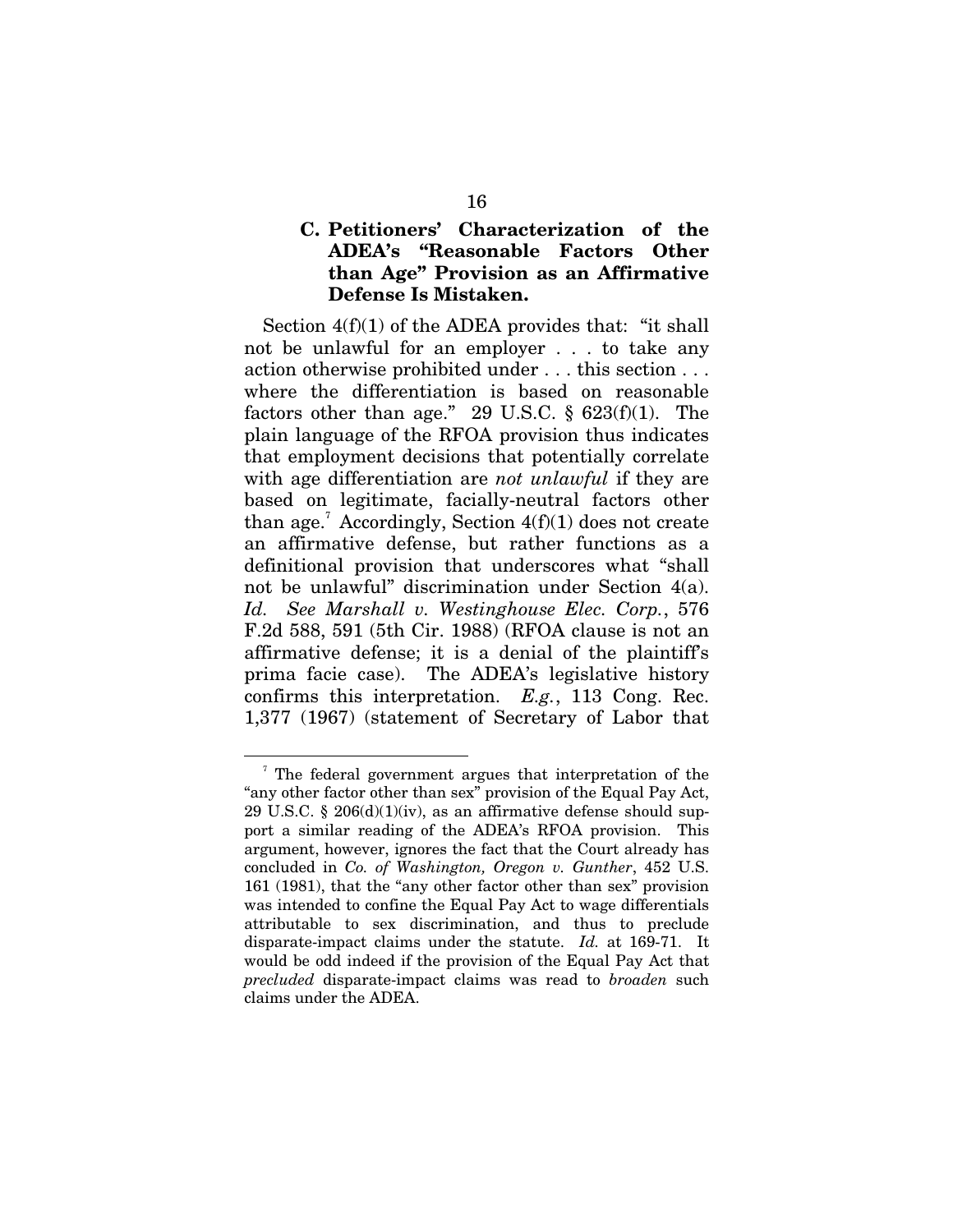#### **C. Petitioners' Characterization of the ADEA's "Reasonable Factors Other than Age" Provision as an Affirmative Defense Is Mistaken.**

Section 4(f)(1) of the ADEA provides that: "it shall not be unlawful for an employer . . . to take any action otherwise prohibited under . . . this section . . . where the differentiation is based on reasonable factors other than age." 29 U.S.C.  $\S$  623(f)(1). The plain language of the RFOA provision thus indicates that employment decisions that potentially correlate with age differentiation are *not unlawful* if they are based on legitimate, facially-neutral factors other than age.<sup>7</sup> Accordingly, Section  $4(f)(1)$  does not create an affirmative defense, but rather functions as a definitional provision that underscores what "shall not be unlawful" discrimination under Section 4(a). *Id. See Marshall v. Westinghouse Elec. Corp.*, 576 F.2d 588, 591 (5th Cir. 1988) (RFOA clause is not an affirmative defense; it is a denial of the plaintiff's prima facie case). The ADEA's legislative history confirms this interpretation. *E.g.*, 113 Cong. Rec. 1,377 (1967) (statement of Secretary of Labor that

<sup>7</sup> The federal government argues that interpretation of the "any other factor other than sex" provision of the Equal Pay Act, 29 U.S.C. § 206 $(d)(1)(iv)$ , as an affirmative defense should support a similar reading of the ADEA's RFOA provision. This argument, however, ignores the fact that the Court already has concluded in *Co. of Washington, Oregon v. Gunther*, 452 U.S. 161 (1981), that the "any other factor other than sex" provision was intended to confine the Equal Pay Act to wage differentials attributable to sex discrimination, and thus to preclude disparate-impact claims under the statute. *Id.* at 169-71. It would be odd indeed if the provision of the Equal Pay Act that *precluded* disparate-impact claims was read to *broaden* such claims under the ADEA.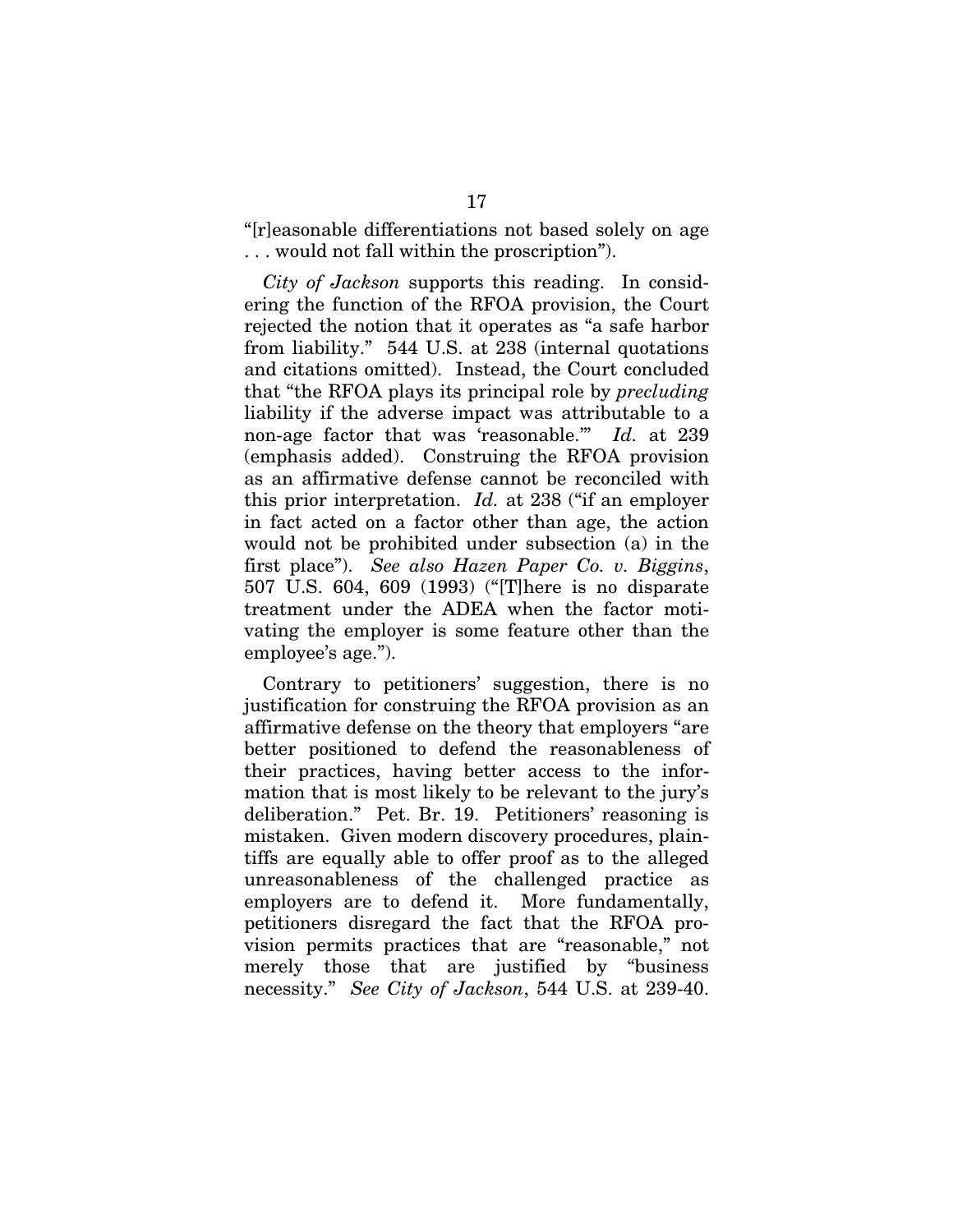"[r]easonable differentiations not based solely on age . . . would not fall within the proscription").

*City of Jackson* supports this reading. In considering the function of the RFOA provision, the Court rejected the notion that it operates as "a safe harbor from liability." 544 U.S. at 238 (internal quotations and citations omitted). Instead, the Court concluded that "the RFOA plays its principal role by *precluding*  liability if the adverse impact was attributable to a non-age factor that was 'reasonable.'" *Id.* at 239 (emphasis added). Construing the RFOA provision as an affirmative defense cannot be reconciled with this prior interpretation. *Id.* at 238 ("if an employer in fact acted on a factor other than age, the action would not be prohibited under subsection (a) in the first place"). *See also Hazen Paper Co. v. Biggins*, 507 U.S. 604, 609 (1993) ("[T]here is no disparate treatment under the ADEA when the factor motivating the employer is some feature other than the employee's age.").

Contrary to petitioners' suggestion, there is no justification for construing the RFOA provision as an affirmative defense on the theory that employers "are better positioned to defend the reasonableness of their practices, having better access to the information that is most likely to be relevant to the jury's deliberation." Pet. Br. 19. Petitioners' reasoning is mistaken. Given modern discovery procedures, plaintiffs are equally able to offer proof as to the alleged unreasonableness of the challenged practice as employers are to defend it. More fundamentally, petitioners disregard the fact that the RFOA provision permits practices that are "reasonable," not merely those that are justified by "business necessity." *See City of Jackson*, 544 U.S. at 239-40.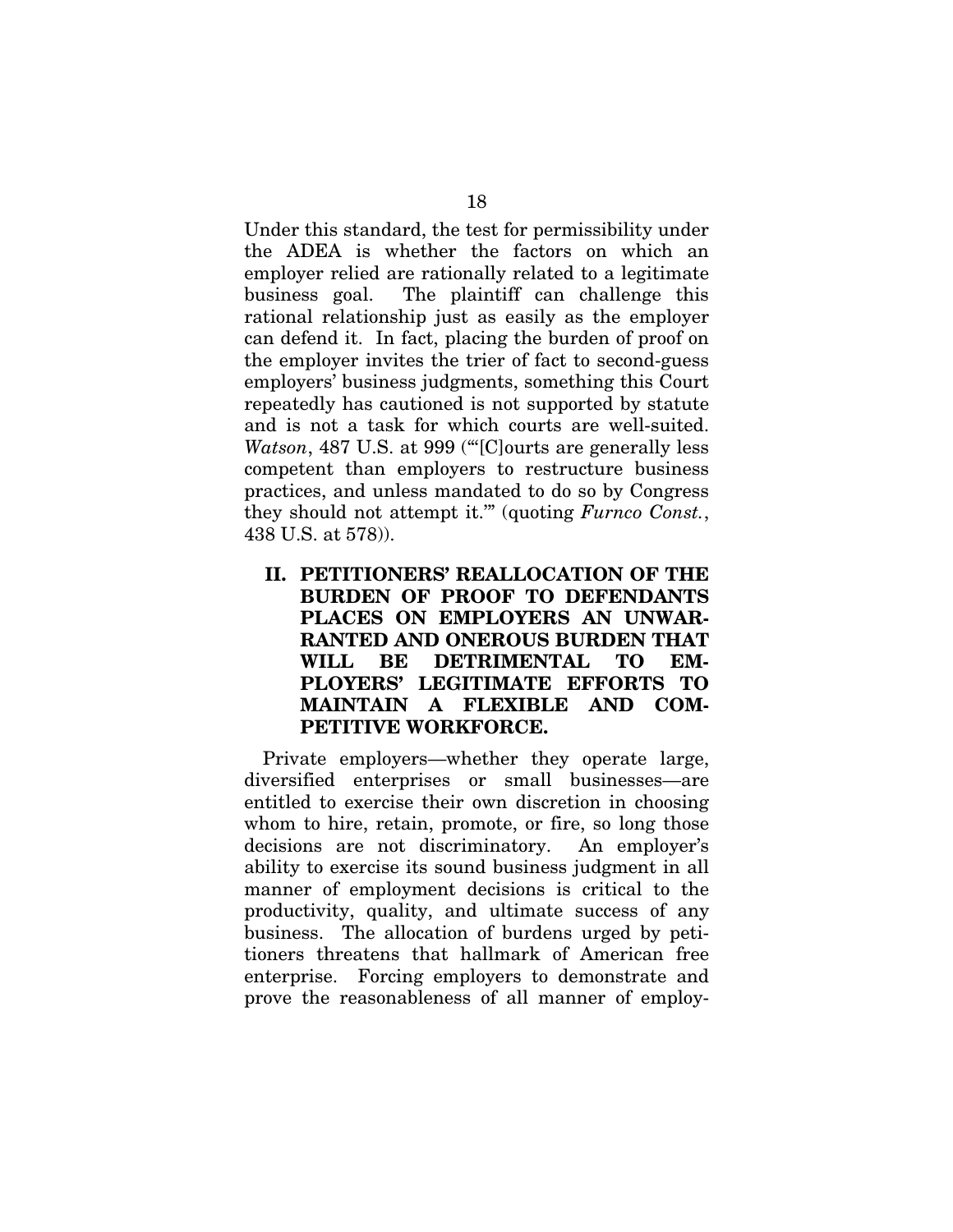Under this standard, the test for permissibility under the ADEA is whether the factors on which an employer relied are rationally related to a legitimate business goal. The plaintiff can challenge this rational relationship just as easily as the employer can defend it. In fact, placing the burden of proof on the employer invites the trier of fact to second-guess employers' business judgments, something this Court repeatedly has cautioned is not supported by statute and is not a task for which courts are well-suited. *Watson*, 487 U.S. at 999 ("[C]ourts are generally less competent than employers to restructure business practices, and unless mandated to do so by Congress they should not attempt it.'" (quoting *Furnco Const.*, 438 U.S. at 578)).

 **II. PETITIONERS' REALLOCATION OF THE BURDEN OF PROOF TO DEFENDANTS PLACES ON EMPLOYERS AN UNWAR-RANTED AND ONEROUS BURDEN THAT WILL BE DETRIMENTAL TO EM-PLOYERS' LEGITIMATE EFFORTS TO MAINTAIN A FLEXIBLE AND COM-PETITIVE WORKFORCE.** 

Private employers—whether they operate large, diversified enterprises or small businesses—are entitled to exercise their own discretion in choosing whom to hire, retain, promote, or fire, so long those decisions are not discriminatory. An employer's ability to exercise its sound business judgment in all manner of employment decisions is critical to the productivity, quality, and ultimate success of any business. The allocation of burdens urged by petitioners threatens that hallmark of American free enterprise. Forcing employers to demonstrate and prove the reasonableness of all manner of employ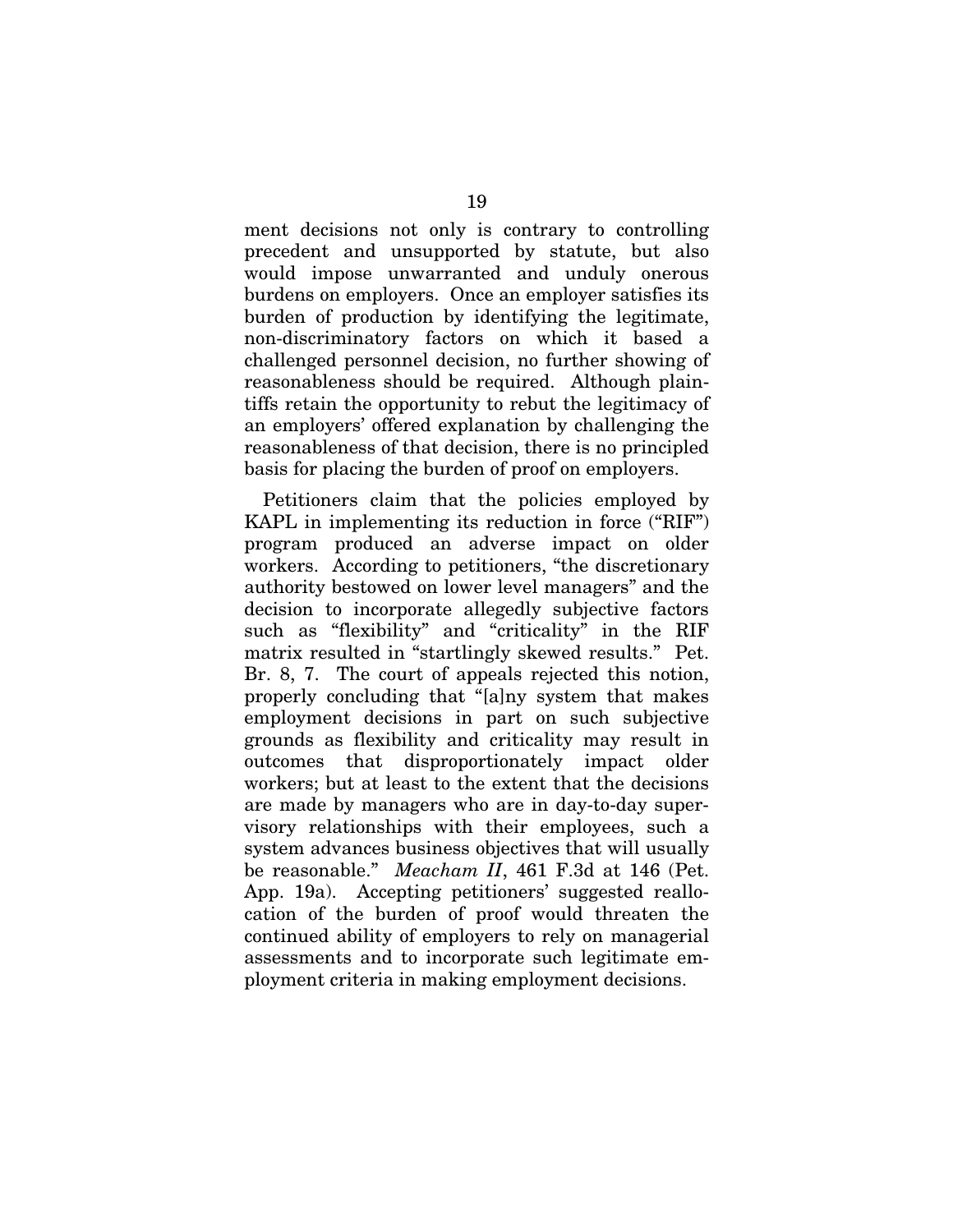ment decisions not only is contrary to controlling precedent and unsupported by statute, but also would impose unwarranted and unduly onerous burdens on employers. Once an employer satisfies its burden of production by identifying the legitimate, non-discriminatory factors on which it based a challenged personnel decision, no further showing of reasonableness should be required. Although plaintiffs retain the opportunity to rebut the legitimacy of an employers' offered explanation by challenging the reasonableness of that decision, there is no principled basis for placing the burden of proof on employers.

Petitioners claim that the policies employed by KAPL in implementing its reduction in force ("RIF") program produced an adverse impact on older workers. According to petitioners, "the discretionary authority bestowed on lower level managers" and the decision to incorporate allegedly subjective factors such as "flexibility" and "criticality" in the RIF matrix resulted in "startlingly skewed results." Pet. Br. 8, 7. The court of appeals rejected this notion, properly concluding that "[a]ny system that makes employment decisions in part on such subjective grounds as flexibility and criticality may result in outcomes that disproportionately impact older workers; but at least to the extent that the decisions are made by managers who are in day-to-day supervisory relationships with their employees, such a system advances business objectives that will usually be reasonable." *Meacham II*, 461 F.3d at 146 (Pet. App. 19a). Accepting petitioners' suggested reallocation of the burden of proof would threaten the continued ability of employers to rely on managerial assessments and to incorporate such legitimate employment criteria in making employment decisions.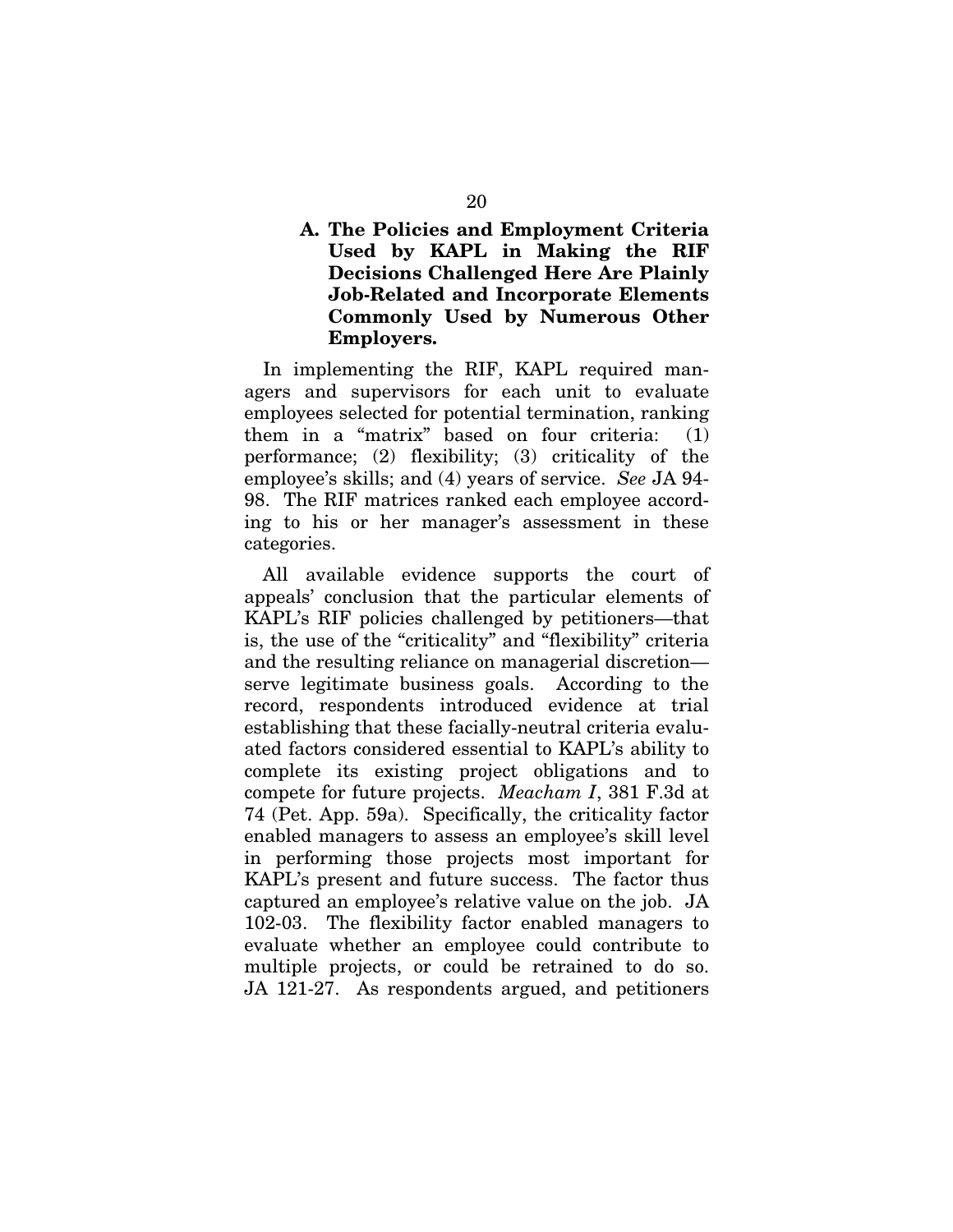#### **A. The Policies and Employment Criteria Used by KAPL in Making the RIF Decisions Challenged Here Are Plainly Job-Related and Incorporate Elements Commonly Used by Numerous Other Employers.**

In implementing the RIF, KAPL required managers and supervisors for each unit to evaluate employees selected for potential termination, ranking them in a "matrix" based on four criteria: (1) performance; (2) flexibility; (3) criticality of the employee's skills; and (4) years of service. *See* JA 94- 98. The RIF matrices ranked each employee according to his or her manager's assessment in these categories.

All available evidence supports the court of appeals' conclusion that the particular elements of KAPL's RIF policies challenged by petitioners—that is, the use of the "criticality" and "flexibility" criteria and the resulting reliance on managerial discretion serve legitimate business goals. According to the record, respondents introduced evidence at trial establishing that these facially-neutral criteria evaluated factors considered essential to KAPL's ability to complete its existing project obligations and to compete for future projects. *Meacham I*, 381 F.3d at 74 (Pet. App. 59a). Specifically, the criticality factor enabled managers to assess an employee's skill level in performing those projects most important for KAPL's present and future success. The factor thus captured an employee's relative value on the job. JA 102-03. The flexibility factor enabled managers to evaluate whether an employee could contribute to multiple projects, or could be retrained to do so. JA 121-27. As respondents argued, and petitioners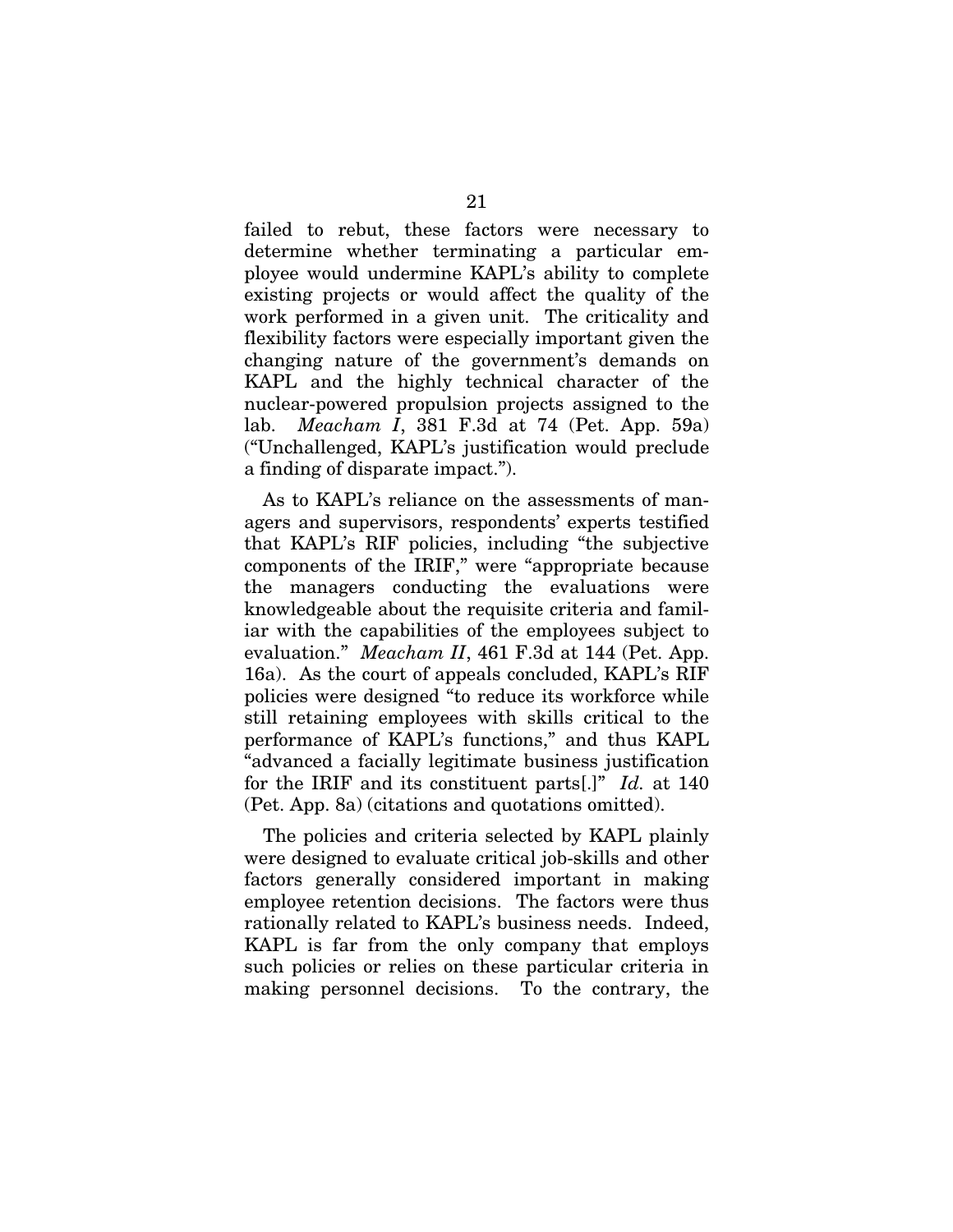failed to rebut, these factors were necessary to determine whether terminating a particular employee would undermine KAPL's ability to complete existing projects or would affect the quality of the work performed in a given unit. The criticality and flexibility factors were especially important given the changing nature of the government's demands on KAPL and the highly technical character of the nuclear-powered propulsion projects assigned to the lab. *Meacham I*, 381 F.3d at 74 (Pet. App. 59a) ("Unchallenged, KAPL's justification would preclude a finding of disparate impact.").

As to KAPL's reliance on the assessments of managers and supervisors, respondents' experts testified that KAPL's RIF policies, including "the subjective components of the IRIF," were "appropriate because the managers conducting the evaluations were knowledgeable about the requisite criteria and familiar with the capabilities of the employees subject to evaluation." *Meacham II*, 461 F.3d at 144 (Pet. App. 16a). As the court of appeals concluded, KAPL's RIF policies were designed "to reduce its workforce while still retaining employees with skills critical to the performance of KAPL's functions," and thus KAPL "advanced a facially legitimate business justification for the IRIF and its constituent parts[.]" *Id.* at 140 (Pet. App. 8a) (citations and quotations omitted).

The policies and criteria selected by KAPL plainly were designed to evaluate critical job-skills and other factors generally considered important in making employee retention decisions. The factors were thus rationally related to KAPL's business needs. Indeed, KAPL is far from the only company that employs such policies or relies on these particular criteria in making personnel decisions. To the contrary, the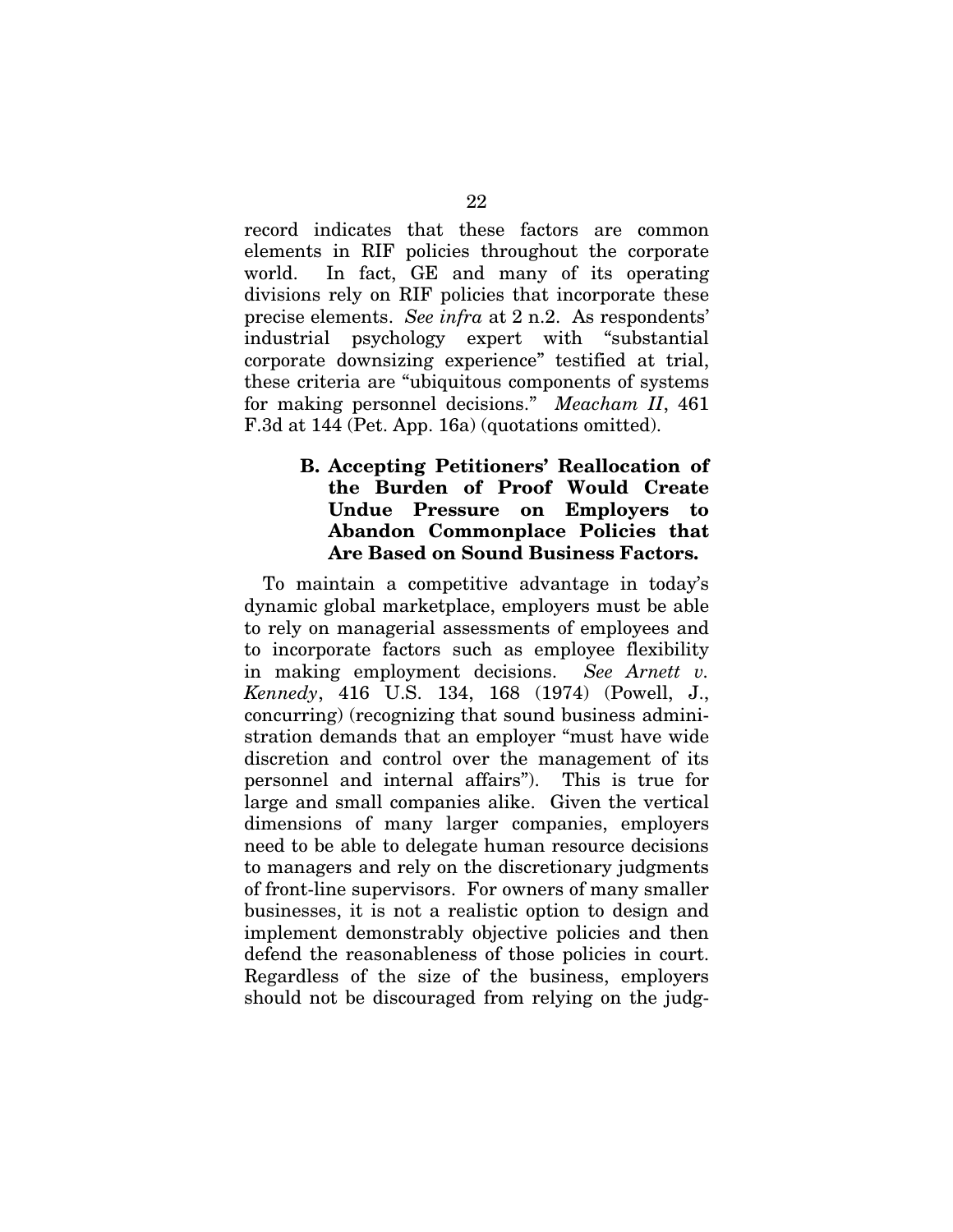record indicates that these factors are common elements in RIF policies throughout the corporate world. In fact, GE and many of its operating divisions rely on RIF policies that incorporate these precise elements. *See infra* at 2 n.2. As respondents' industrial psychology expert with "substantial corporate downsizing experience" testified at trial, these criteria are "ubiquitous components of systems for making personnel decisions." *Meacham II*, 461 F.3d at 144 (Pet. App. 16a) (quotations omitted).

#### **B. Accepting Petitioners' Reallocation of the Burden of Proof Would Create Undue Pressure on Employers to Abandon Commonplace Policies that Are Based on Sound Business Factors.**

To maintain a competitive advantage in today's dynamic global marketplace, employers must be able to rely on managerial assessments of employees and to incorporate factors such as employee flexibility in making employment decisions. *See Arnett v. Kennedy*, 416 U.S. 134, 168 (1974) (Powell, J., concurring) (recognizing that sound business administration demands that an employer "must have wide discretion and control over the management of its personnel and internal affairs"). This is true for large and small companies alike. Given the vertical dimensions of many larger companies, employers need to be able to delegate human resource decisions to managers and rely on the discretionary judgments of front-line supervisors. For owners of many smaller businesses, it is not a realistic option to design and implement demonstrably objective policies and then defend the reasonableness of those policies in court. Regardless of the size of the business, employers should not be discouraged from relying on the judg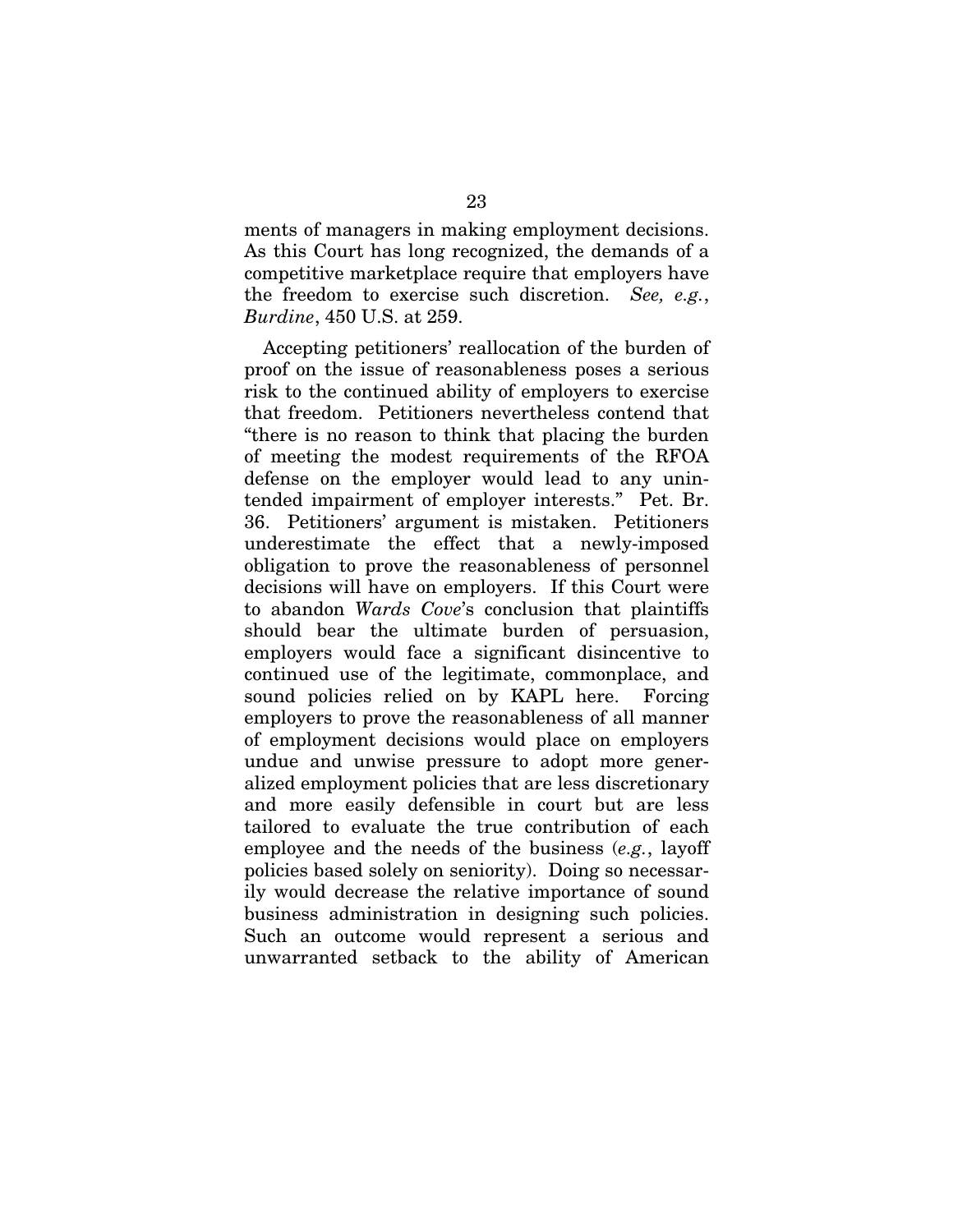ments of managers in making employment decisions. As this Court has long recognized, the demands of a competitive marketplace require that employers have the freedom to exercise such discretion. *See, e.g.*, *Burdine*, 450 U.S. at 259.

Accepting petitioners' reallocation of the burden of proof on the issue of reasonableness poses a serious risk to the continued ability of employers to exercise that freedom. Petitioners nevertheless contend that "there is no reason to think that placing the burden of meeting the modest requirements of the RFOA defense on the employer would lead to any unintended impairment of employer interests." Pet. Br. 36. Petitioners' argument is mistaken. Petitioners underestimate the effect that a newly-imposed obligation to prove the reasonableness of personnel decisions will have on employers. If this Court were to abandon *Wards Cove*'s conclusion that plaintiffs should bear the ultimate burden of persuasion, employers would face a significant disincentive to continued use of the legitimate, commonplace, and sound policies relied on by KAPL here. Forcing employers to prove the reasonableness of all manner of employment decisions would place on employers undue and unwise pressure to adopt more generalized employment policies that are less discretionary and more easily defensible in court but are less tailored to evaluate the true contribution of each employee and the needs of the business (*e.g.*, layoff policies based solely on seniority). Doing so necessarily would decrease the relative importance of sound business administration in designing such policies. Such an outcome would represent a serious and unwarranted setback to the ability of American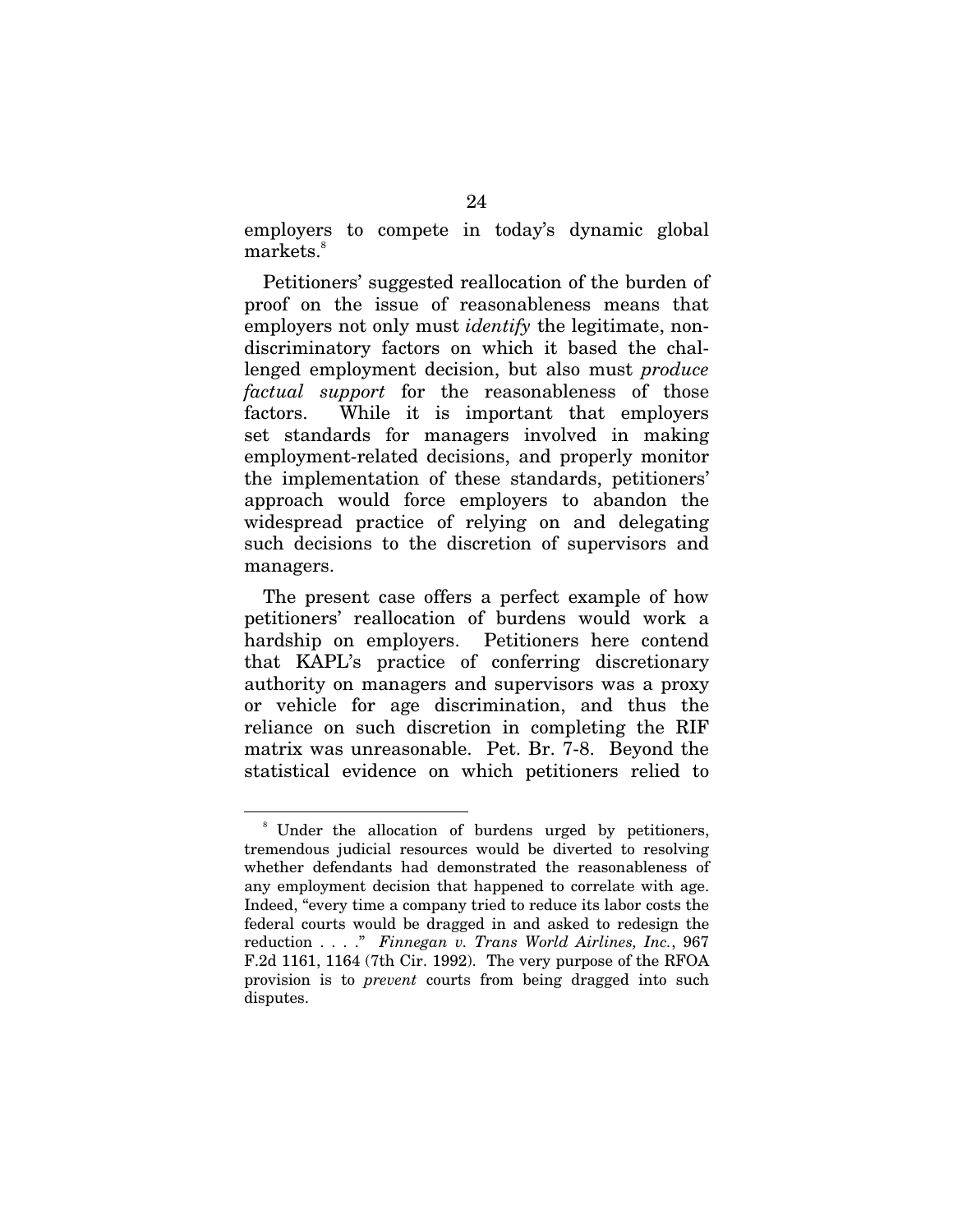employers to compete in today's dynamic global markets.<sup>8</sup>

Petitioners' suggested reallocation of the burden of proof on the issue of reasonableness means that employers not only must *identify* the legitimate, nondiscriminatory factors on which it based the challenged employment decision, but also must *produce factual support* for the reasonableness of those factors. While it is important that employers set standards for managers involved in making employment-related decisions, and properly monitor the implementation of these standards, petitioners' approach would force employers to abandon the widespread practice of relying on and delegating such decisions to the discretion of supervisors and managers.

The present case offers a perfect example of how petitioners' reallocation of burdens would work a hardship on employers. Petitioners here contend that KAPL's practice of conferring discretionary authority on managers and supervisors was a proxy or vehicle for age discrimination, and thus the reliance on such discretion in completing the RIF matrix was unreasonable. Pet. Br. 7-8. Beyond the statistical evidence on which petitioners relied to

<sup>8</sup> Under the allocation of burdens urged by petitioners, tremendous judicial resources would be diverted to resolving whether defendants had demonstrated the reasonableness of any employment decision that happened to correlate with age. Indeed, "every time a company tried to reduce its labor costs the federal courts would be dragged in and asked to redesign the reduction . . . ." *Finnegan v. Trans World Airlines, Inc.*, 967 F.2d 1161, 1164 (7th Cir. 1992). The very purpose of the RFOA provision is to *prevent* courts from being dragged into such disputes.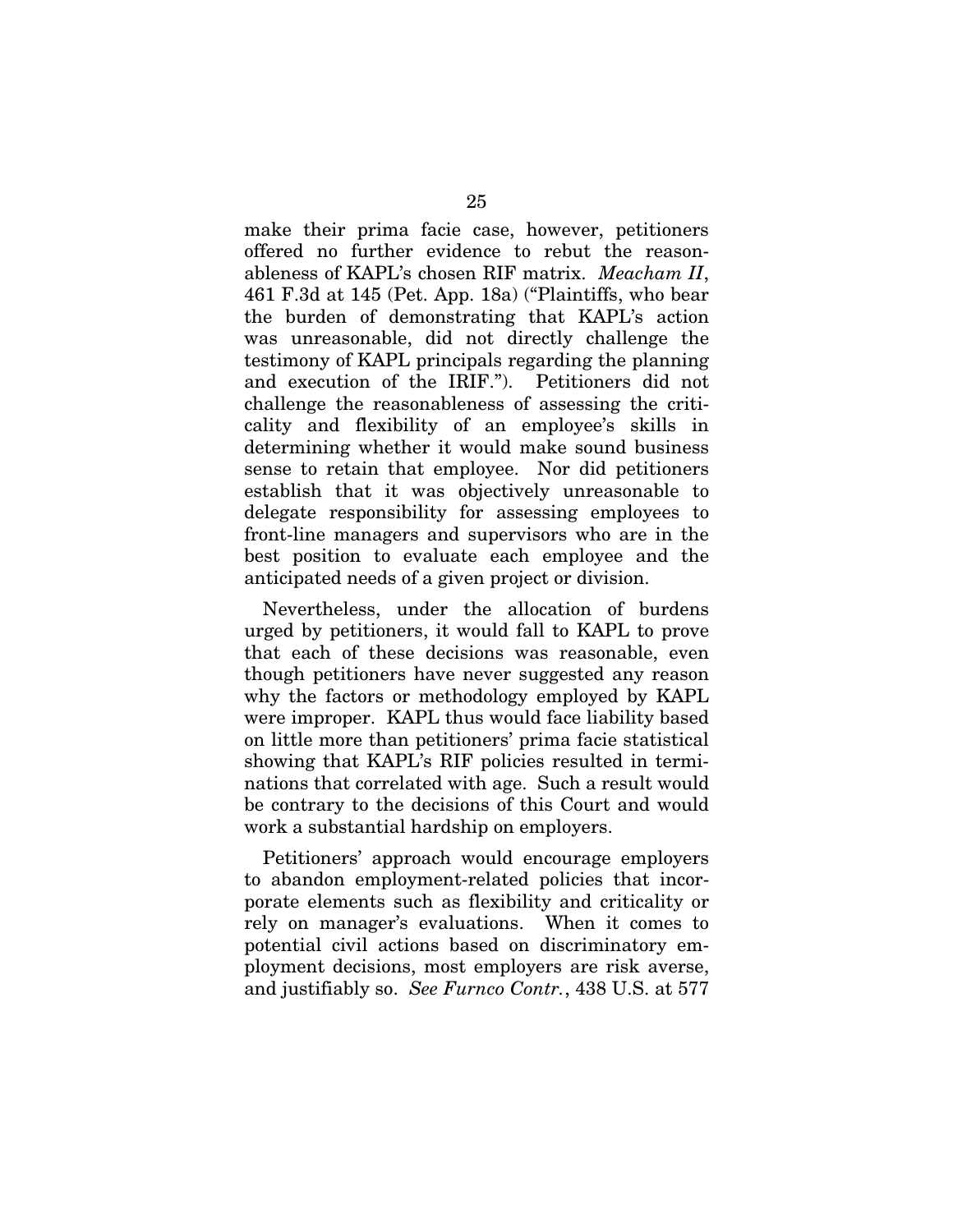make their prima facie case, however, petitioners offered no further evidence to rebut the reasonableness of KAPL's chosen RIF matrix. *Meacham II*, 461 F.3d at 145 (Pet. App. 18a) ("Plaintiffs, who bear the burden of demonstrating that KAPL's action was unreasonable, did not directly challenge the testimony of KAPL principals regarding the planning and execution of the IRIF."). Petitioners did not challenge the reasonableness of assessing the criticality and flexibility of an employee's skills in determining whether it would make sound business sense to retain that employee. Nor did petitioners establish that it was objectively unreasonable to delegate responsibility for assessing employees to front-line managers and supervisors who are in the best position to evaluate each employee and the anticipated needs of a given project or division.

Nevertheless, under the allocation of burdens urged by petitioners, it would fall to KAPL to prove that each of these decisions was reasonable, even though petitioners have never suggested any reason why the factors or methodology employed by KAPL were improper. KAPL thus would face liability based on little more than petitioners' prima facie statistical showing that KAPL's RIF policies resulted in terminations that correlated with age. Such a result would be contrary to the decisions of this Court and would work a substantial hardship on employers.

Petitioners' approach would encourage employers to abandon employment-related policies that incorporate elements such as flexibility and criticality or rely on manager's evaluations. When it comes to potential civil actions based on discriminatory employment decisions, most employers are risk averse, and justifiably so. *See Furnco Contr.*, 438 U.S. at 577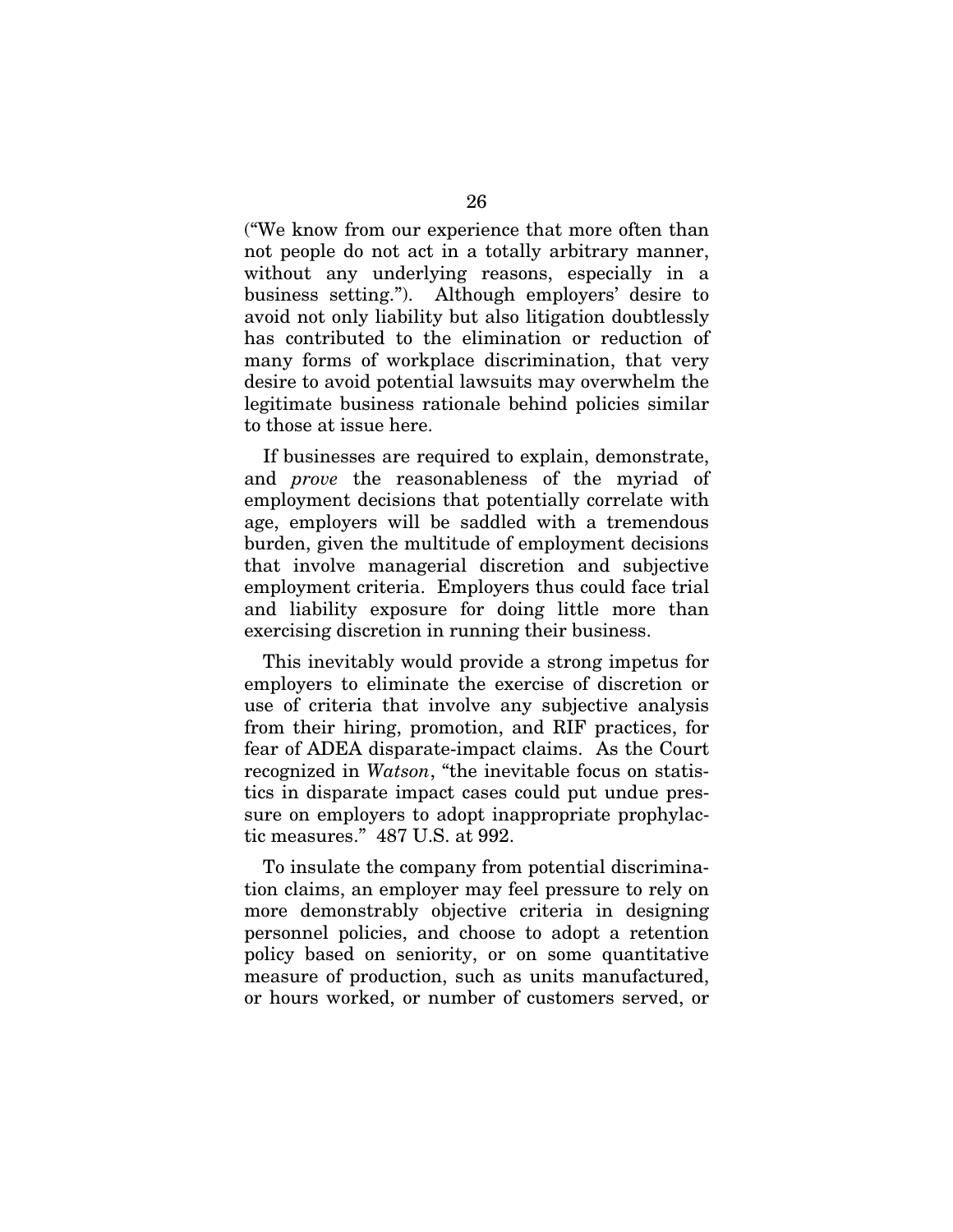("We know from our experience that more often than not people do not act in a totally arbitrary manner, without any underlying reasons, especially in a business setting."). Although employers' desire to avoid not only liability but also litigation doubtlessly has contributed to the elimination or reduction of many forms of workplace discrimination, that very desire to avoid potential lawsuits may overwhelm the legitimate business rationale behind policies similar to those at issue here.

If businesses are required to explain, demonstrate, and *prove* the reasonableness of the myriad of employment decisions that potentially correlate with age, employers will be saddled with a tremendous burden, given the multitude of employment decisions that involve managerial discretion and subjective employment criteria. Employers thus could face trial and liability exposure for doing little more than exercising discretion in running their business.

This inevitably would provide a strong impetus for employers to eliminate the exercise of discretion or use of criteria that involve any subjective analysis from their hiring, promotion, and RIF practices, for fear of ADEA disparate-impact claims. As the Court recognized in *Watson*, "the inevitable focus on statistics in disparate impact cases could put undue pressure on employers to adopt inappropriate prophylactic measures." 487 U.S. at 992.

To insulate the company from potential discrimination claims, an employer may feel pressure to rely on more demonstrably objective criteria in designing personnel policies, and choose to adopt a retention policy based on seniority, or on some quantitative measure of production, such as units manufactured, or hours worked, or number of customers served, or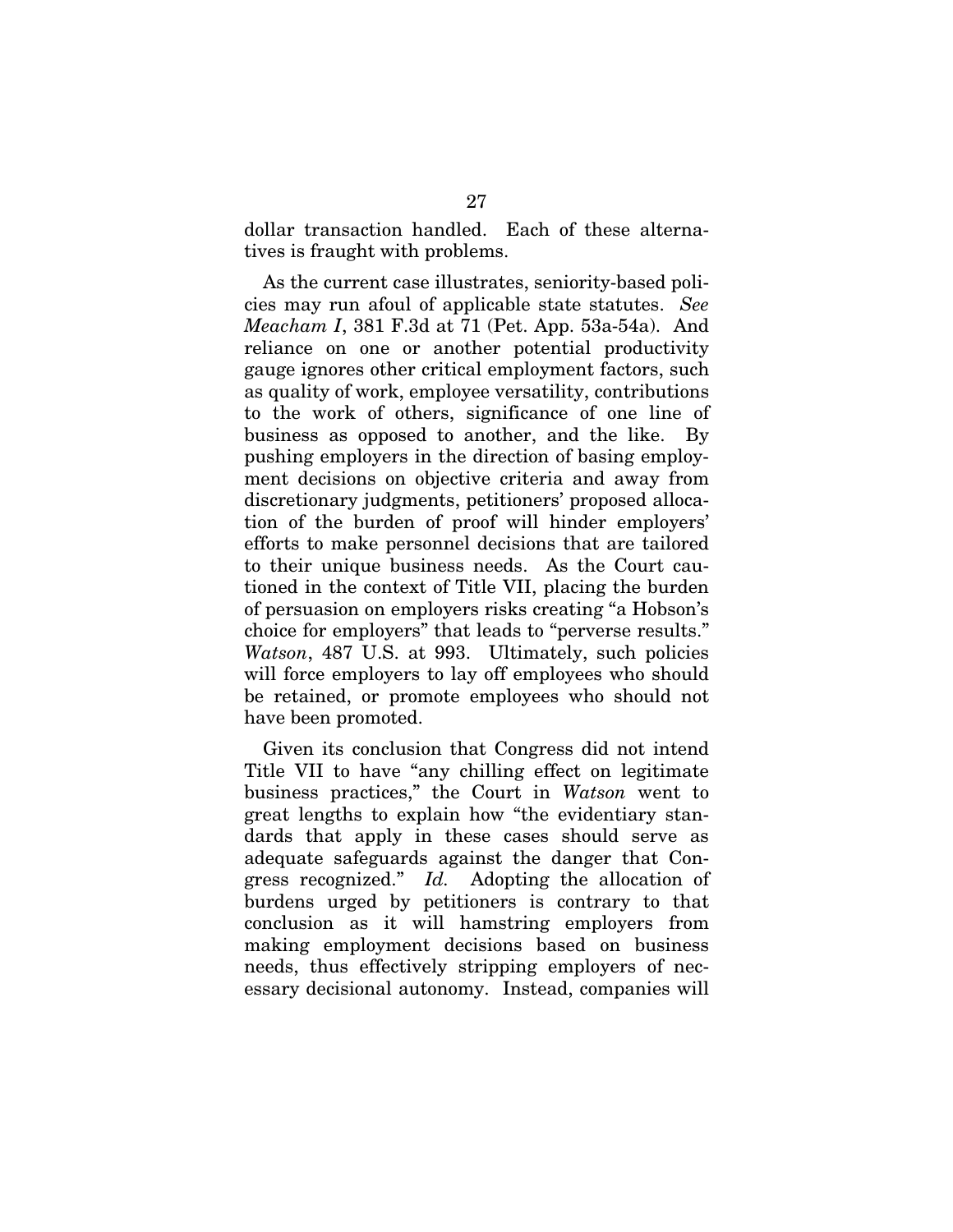dollar transaction handled. Each of these alternatives is fraught with problems.

As the current case illustrates, seniority-based policies may run afoul of applicable state statutes. *See Meacham I*, 381 F.3d at 71 (Pet. App. 53a-54a). And reliance on one or another potential productivity gauge ignores other critical employment factors, such as quality of work, employee versatility, contributions to the work of others, significance of one line of business as opposed to another, and the like. By pushing employers in the direction of basing employment decisions on objective criteria and away from discretionary judgments, petitioners' proposed allocation of the burden of proof will hinder employers' efforts to make personnel decisions that are tailored to their unique business needs. As the Court cautioned in the context of Title VII, placing the burden of persuasion on employers risks creating "a Hobson's choice for employers" that leads to "perverse results." *Watson*, 487 U.S. at 993. Ultimately, such policies will force employers to lay off employees who should be retained, or promote employees who should not have been promoted.

Given its conclusion that Congress did not intend Title VII to have "any chilling effect on legitimate business practices," the Court in *Watson* went to great lengths to explain how "the evidentiary standards that apply in these cases should serve as adequate safeguards against the danger that Congress recognized." *Id.* Adopting the allocation of burdens urged by petitioners is contrary to that conclusion as it will hamstring employers from making employment decisions based on business needs, thus effectively stripping employers of necessary decisional autonomy. Instead, companies will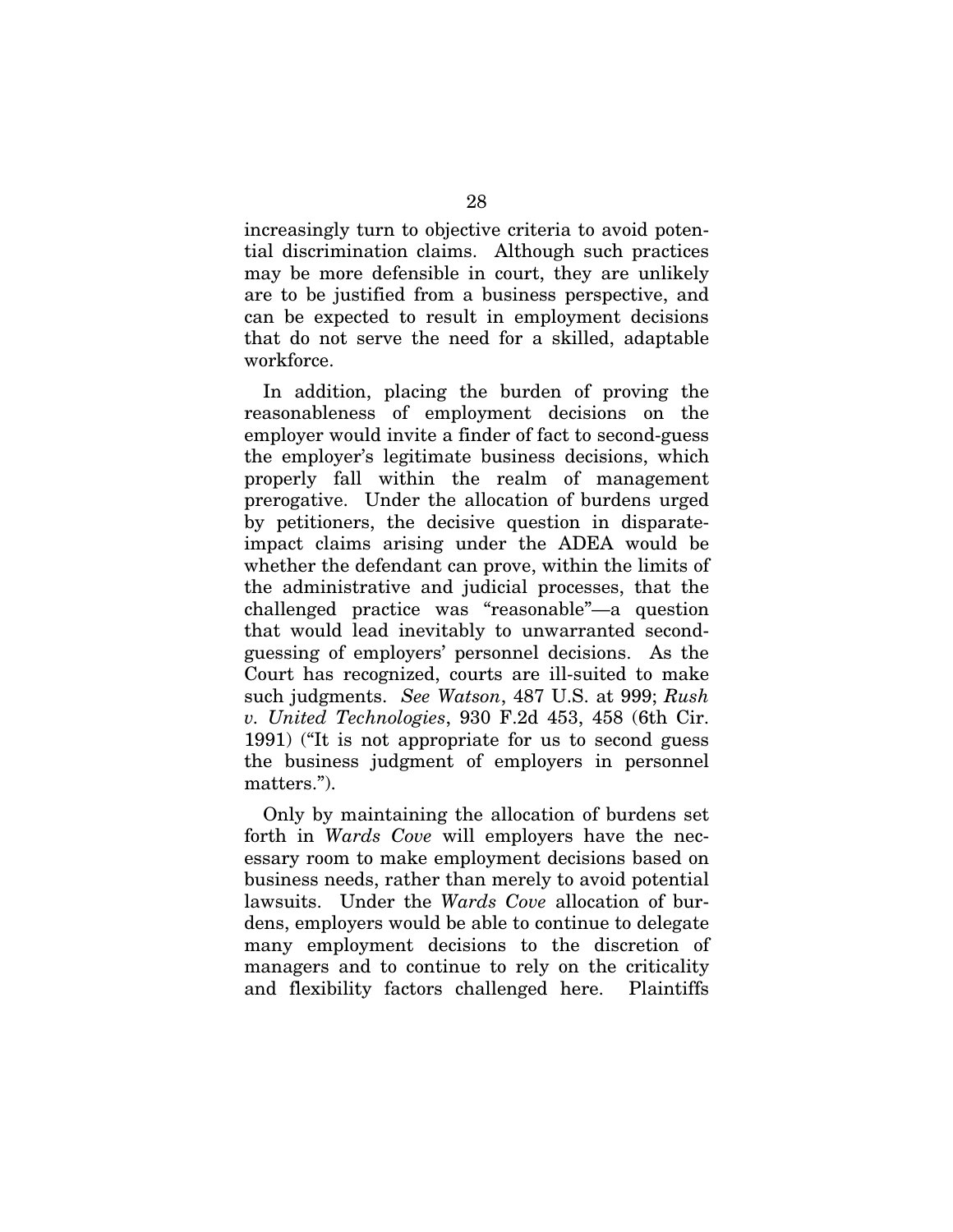increasingly turn to objective criteria to avoid potential discrimination claims. Although such practices may be more defensible in court, they are unlikely are to be justified from a business perspective, and can be expected to result in employment decisions that do not serve the need for a skilled, adaptable workforce.

In addition, placing the burden of proving the reasonableness of employment decisions on the employer would invite a finder of fact to second-guess the employer's legitimate business decisions, which properly fall within the realm of management prerogative. Under the allocation of burdens urged by petitioners, the decisive question in disparateimpact claims arising under the ADEA would be whether the defendant can prove, within the limits of the administrative and judicial processes, that the challenged practice was "reasonable"—a question that would lead inevitably to unwarranted secondguessing of employers' personnel decisions. As the Court has recognized, courts are ill-suited to make such judgments. *See Watson*, 487 U.S. at 999; *Rush v. United Technologies*, 930 F.2d 453, 458 (6th Cir. 1991) ("It is not appropriate for us to second guess the business judgment of employers in personnel matters.").

Only by maintaining the allocation of burdens set forth in *Wards Cove* will employers have the necessary room to make employment decisions based on business needs, rather than merely to avoid potential lawsuits. Under the *Wards Cove* allocation of burdens, employers would be able to continue to delegate many employment decisions to the discretion of managers and to continue to rely on the criticality and flexibility factors challenged here. Plaintiffs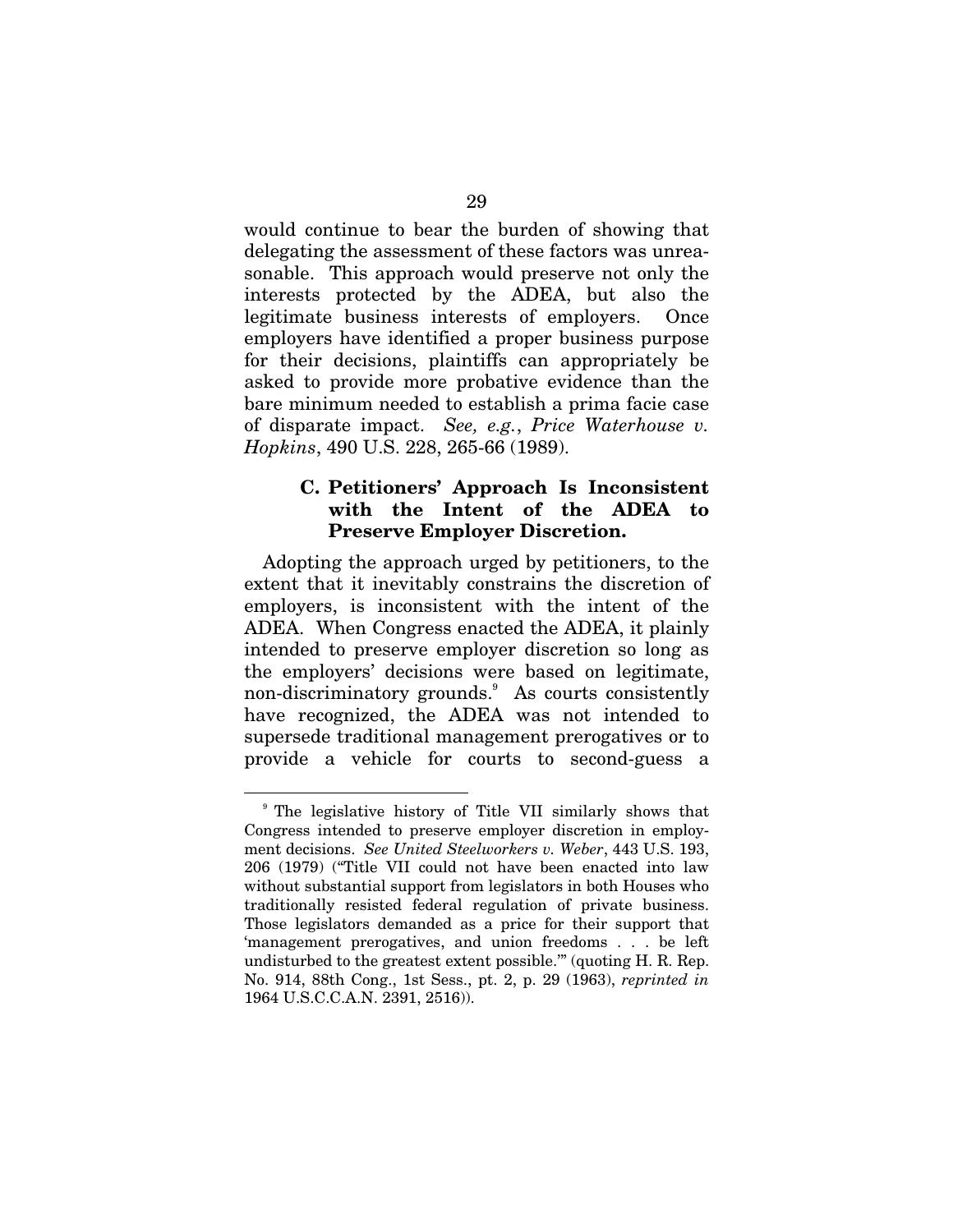would continue to bear the burden of showing that delegating the assessment of these factors was unreasonable. This approach would preserve not only the interests protected by the ADEA, but also the legitimate business interests of employers. Once employers have identified a proper business purpose for their decisions, plaintiffs can appropriately be asked to provide more probative evidence than the bare minimum needed to establish a prima facie case of disparate impact. *See, e.g.*, *Price Waterhouse v. Hopkins*, 490 U.S. 228, 265-66 (1989).

#### **C. Petitioners' Approach Is Inconsistent with the Intent of the ADEA to Preserve Employer Discretion.**

Adopting the approach urged by petitioners, to the extent that it inevitably constrains the discretion of employers, is inconsistent with the intent of the ADEA. When Congress enacted the ADEA, it plainly intended to preserve employer discretion so long as the employers' decisions were based on legitimate, non-discriminatory grounds.<sup>9</sup> As courts consistently have recognized, the ADEA was not intended to supersede traditional management prerogatives or to provide a vehicle for courts to second-guess a

<sup>9</sup> The legislative history of Title VII similarly shows that Congress intended to preserve employer discretion in employment decisions. *See United Steelworkers v. Weber*, 443 U.S. 193, 206 (1979) ("Title VII could not have been enacted into law without substantial support from legislators in both Houses who traditionally resisted federal regulation of private business. Those legislators demanded as a price for their support that 'management prerogatives, and union freedoms . . . be left undisturbed to the greatest extent possible.'" (quoting H. R. Rep. No. 914, 88th Cong., 1st Sess., pt. 2, p. 29 (1963), *reprinted in*  1964 U.S.C.C.A.N. 2391, 2516)).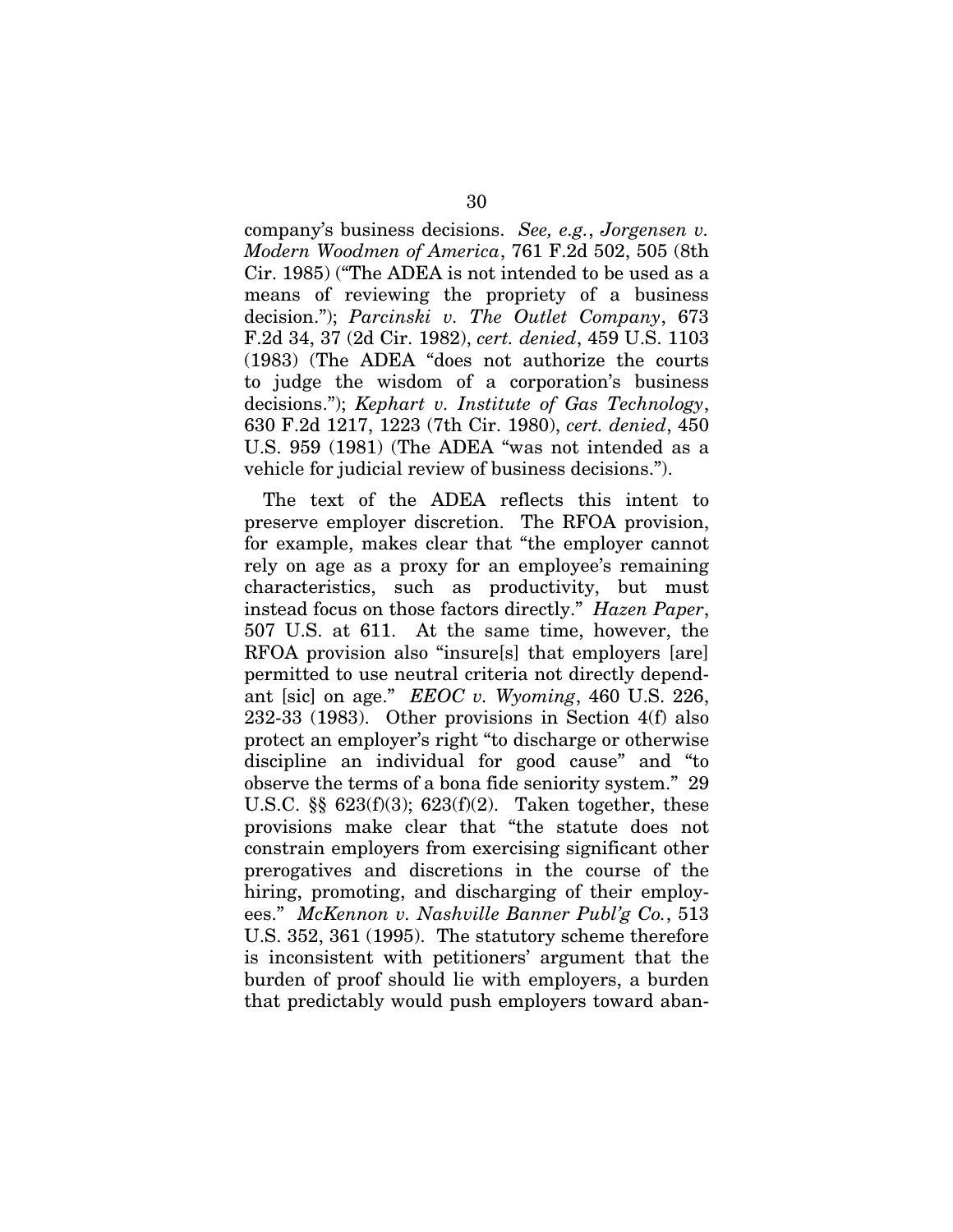company's business decisions. *See, e.g.*, *Jorgensen v. Modern Woodmen of America*, 761 F.2d 502, 505 (8th Cir. 1985) ("The ADEA is not intended to be used as a means of reviewing the propriety of a business decision."); *Parcinski v. The Outlet Company*, 673 F.2d 34, 37 (2d Cir. 1982), *cert. denied*, 459 U.S. 1103 (1983) (The ADEA "does not authorize the courts to judge the wisdom of a corporation's business decisions."); *Kephart v. Institute of Gas Technology*, 630 F.2d 1217, 1223 (7th Cir. 1980), *cert. denied*, 450 U.S. 959 (1981) (The ADEA "was not intended as a vehicle for judicial review of business decisions.").

The text of the ADEA reflects this intent to preserve employer discretion. The RFOA provision, for example, makes clear that "the employer cannot rely on age as a proxy for an employee's remaining characteristics, such as productivity, but must instead focus on those factors directly." *Hazen Paper*, 507 U.S. at 611. At the same time, however, the RFOA provision also "insure[s] that employers [are] permitted to use neutral criteria not directly dependant [sic] on age." *EEOC v. Wyoming*, 460 U.S. 226, 232-33 (1983). Other provisions in Section 4(f) also protect an employer's right "to discharge or otherwise discipline an individual for good cause" and "to observe the terms of a bona fide seniority system." 29 U.S.C.  $\S$  623(f)(3); 623(f)(2). Taken together, these provisions make clear that "the statute does not constrain employers from exercising significant other prerogatives and discretions in the course of the hiring, promoting, and discharging of their employees." *McKennon v. Nashville Banner Publ'g Co.*, 513 U.S. 352, 361 (1995). The statutory scheme therefore is inconsistent with petitioners' argument that the burden of proof should lie with employers, a burden that predictably would push employers toward aban